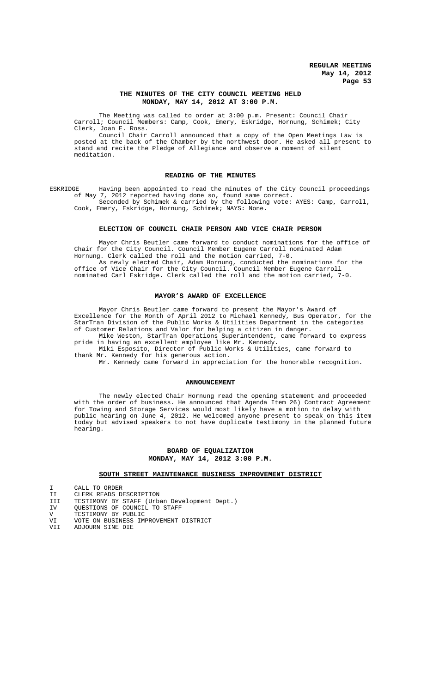## **THE MINUTES OF THE CITY COUNCIL MEETING HELD MONDAY, MAY 14, 2012 AT 3:00 P.M.**

The Meeting was called to order at 3:00 p.m. Present: Council Chair Carroll; Council Members: Camp, Cook, Emery, Eskridge, Hornung, Schimek; City Clerk, Joan E. Ross.

Council Chair Carroll announced that a copy of the Open Meetings Law is posted at the back of the Chamber by the northwest door. He asked all present to stand and recite the Pledge of Allegiance and observe a moment of silent meditation.

### **READING OF THE MINUTES**

ESKRIDGE Having been appointed to read the minutes of the City Council proceedings of May 7, 2012 reported having done so, found same correct.

Seconded by Schimek & carried by the following vote: AYES: Camp, Carroll, Cook, Emery, Eskridge, Hornung, Schimek; NAYS: None.

## **ELECTION OF COUNCIL CHAIR PERSON AND VICE CHAIR PERSON**

Mayor Chris Beutler came forward to conduct nominations for the office of<br>Chair for the City Council. Council Member Eugene Carroll nominated Adam the City Council. Council Member Eugene Carroll nominated Adam Hornung. Clerk called the roll and the motion carried, 7-0.

As newly elected Chair, Adam Hornung, conducted the nominations for the office of Vice Chair for the City Council. Council Member Eugene Carroll nominated Carl Eskridge. Clerk called the roll and the motion carried, 7-0.

#### **MAYOR'S AWARD OF EXCELLENCE**

Mayor Chris Beutler came forward to present the Mayor's Award of Excellence for the Month of April 2012 to Michael Kennedy, Bus Operator, for the StarTran Division of the Public Works & Utilities Department in the categories of Customer Relations and Valor for helping a citizen in danger.

Mike Weston, StarTran Operations Superintendent, came forward to express pride in having an excellent employee like Mr. Kennedy.

Miki Esposito, Director of Public Works & Utilities, came forward to thank Mr. Kennedy for his generous action.

Mr. Kennedy came forward in appreciation for the honorable recognition.

#### **ANNOUNCEMENT**

The newly elected Chair Hornung read the opening statement and proceeded with the order of business. He announced that Agenda Item 26) Contract Agreement for Towing and Storage Services would most likely have a motion to delay with public hearing on June 4, 2012. He welcomed anyone present to speak on this item today but advised speakers to not have duplicate testimony in the planned future hearing.

# **BOARD OF EQUALIZATION MONDAY, MAY 14, 2012 3:00 P.M.**

# **SOUTH STREET MAINTENANCE BUSINESS IMPROVEMENT DISTRICT**

I CALL TO ORDER<br>II CLERK READS DI

II CLERK READS DESCRIPTION<br>III TESTIMONY BY STAFF (Urba III TESTIMONY BY STAFF (Urban Development Dept.)<br>IV QUESTIONS OF COUNCIL TO STAFF

- IV QUESTIONS OF COUNCIL TO STAFF
- V TESTIMONY BY PUBLIC<br>VI VOTE ON BUSINESS IM
- VI VOTE ON BUSINESS IMPROVEMENT DISTRICT<br>VII ADJOURN SINE DIE
- VII ADJOURN SINE DIE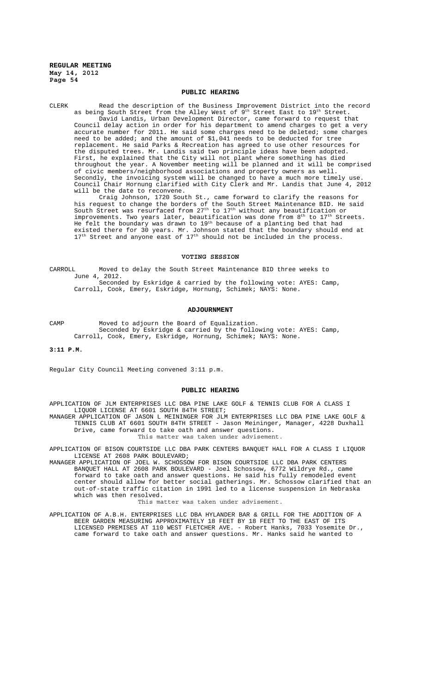# **PUBLIC HEARING**

CLERK Read the description of the Business Improvement District into the record as being South Street from the Alley West of  $9^{\text{th}}$  Street East to  $19^{\text{th}}$  Street. David Landis, Urban Development Director, came forward to request that Council delay action in order for his department to amend charges to get a very accurate number for 2011. He said some charges need to be deleted; some charges need to be added; and the amount of \$1,041 needs to be deducted for tree replacement. He said Parks & Recreation has agreed to use other resources for the disputed trees. Mr. Landis said two principle ideas have been adopted. First, he explained that the City will not plant where something has died throughout the year. A November meeting will be planned and it will be comprised of civic members/neighborhood associations and property owners as well. Secondly, the invoicing system will be changed to have a much more timely use. Council Chair Hornung clarified with City Clerk and Mr. Landis that June 4, 2012 will be the date to reconvene.

Craig Johnson, 1720 South St., came forward to clarify the reasons for his request to change the borders of the South Street Maintenance BID. He said South Street was resurfaced from  $27^{\text{th}}$  to  $17^{\text{th}}$  without any beautification or improvements. Two years later, beautification was done from 8<sup>th</sup> to 17<sup>th</sup> Streets. He felt the boundary was drawn to 19<sup>th</sup> because of a planting bed that had existed there for 30 years. Mr. Johnson stated that the boundary should end at  $17<sup>th</sup>$  Street and anyone east of  $17<sup>th</sup>$  should not be included in the process.

#### **VOTING SESSION**

CARROLL Moved to delay the South Street Maintenance BID three weeks to June 4, 2012.

Seconded by Eskridge & carried by the following vote: AYES: Camp, Carroll, Cook, Emery, Eskridge, Hornung, Schimek; NAYS: None.

## **ADJOURNMENT**

CAMP Moved to adjourn the Board of Equalization. Seconded by Eskridge & carried by the following vote: AYES: Camp, Carroll, Cook, Emery, Eskridge, Hornung, Schimek; NAYS: None.

**3:11 P.M.**

Regular City Council Meeting convened 3:11 p.m.

#### **PUBLIC HEARING**

APPLICATION OF JLM ENTERPRISES LLC DBA PINE LAKE GOLF & TENNIS CLUB FOR A CLASS I LIQUOR LICENSE AT 6601 SOUTH 84TH STREET;

MANAGER APPLICATION OF JASON L MEININGER FOR JLM ENTERPRISES LLC DBA PINE LAKE GOLF & TENNIS CLUB AT 6601 SOUTH 84TH STREET - Jason Meininger, Manager, 4228 Duxhall Drive, came forward to take oath and answer questions. This matter was taken under advisement.

APPLICATION OF BISON COURTSIDE LLC DBA PARK CENTERS BANQUET HALL FOR A CLASS I LIQUOR LICENSE AT 2608 PARK BOULEVARD;

MANAGER APPLICATION OF JOEL W. SCHOSSOW FOR BISON COURTSIDE LLC DBA PARK CENTERS BANQUET HALL AT 2608 PARK BOULEVARD - Joel Schossow, 6772 Wildrye Rd., came forward to take oath and answer questions. He said his fully remodeled event center should allow for better social gatherings. Mr. Schossow clarified that an out-of-state traffic citation in 1991 led to a license suspension in Nebraska which was then resolved.

This matter was taken under advisement.

APPLICATION OF A.B.H. ENTERPRISES LLC DBA HYLANDER BAR & GRILL FOR THE ADDITION OF A BEER GARDEN MEASURING APPROXIMATELY 18 FEET BY 18 FEET TO THE EAST OF ITS LICENSED PREMISES AT 110 WEST FLETCHER AVE. - Robert Hanks, 7033 Yosemite Dr., came forward to take oath and answer questions. Mr. Hanks said he wanted to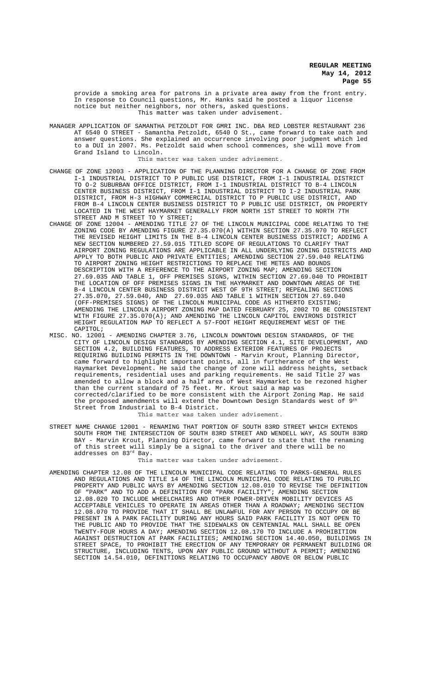provide a smoking area for patrons in a private area away from the front entry. In response to Council questions, Mr. Hanks said he posted a liquor license notice but neither neighbors, nor others, asked questions. This matter was taken under advisement.

MANAGER APPLICATION OF SAMANTHA PETZOLDT FOR GMRI INC. DBA RED LOBSTER RESTAURANT 236 AT 6540 O STREET - Samantha Petzoldt, 6540 O St., came forward to take oath and answer questions. She explained an occurrence involving poor judgment which led to a DUI in 2007. Ms. Petzoldt said when school commences, she will move from Grand Island to Lincoln.

This matter was taken under advisement.

- CHANGE OF ZONE 12003 APPLICATION OF THE PLANNING DIRECTOR FOR A CHANGE OF ZONE FROM I-1 INDUSTRIAL DISTRICT TO P PUBLIC USE DISTRICT, FROM I-1 INDUSTRIAL DISTRICT TO O-2 SUBURBAN OFFICE DISTRICT, FROM I-1 INDUSTRIAL DISTRICT TO B-4 LINCOLN CENTER BUSINESS DISTRICT, FROM I-1 INDUSTRIAL DISTRICT TO I-2 INDUSTRIAL PARK DISTRICT, FROM H-3 HIGHWAY COMMERCIAL DISTRICT TO P PUBLIC USE DISTRICT, AND FROM B-4 LINCOLN CENTER BUSINESS DISTRICT TO P PUBLIC USE DISTRICT, ON PROPERTY LOCATED IN THE WEST HAYMARKET GENERALLY FROM NORTH 1ST STREET TO NORTH 7TH STREET AND M STREET TO Y STREET;
- CHANGE OF ZONE 12004 AMENDING TITLE 27 OF THE LINCOLN MUNICIPAL CODE RELATING TO THE ZONING CODE BY AMENDING FIGURE 27.35.070(A) WITHIN SECTION 27.35.070 TO REFLECT THE REVISED HEIGHT LIMITS IN THE B-4 LINCOLN CENTER BUSINESS DISTRICT; ADDING A NEW SECTION NUMBERED 27.59.015 TITLED SCOPE OF REGULATIONS TO CLARIFY THAT AIRPORT ZONING REGULATIONS ARE APPLICABLE IN ALL UNDERLYING ZONING DISTRICTS AND APPLY TO BOTH PUBLIC AND PRIVATE ENTITIES; AMENDING SECTION 27.59.040 RELATING TO AIRPORT ZONING HEIGHT RESTRICTIONS TO REPLACE THE METES AND BOUNDS DESCRIPTION WITH A REFERENCE TO THE AIRPORT ZONING MAP; AMENDING SECTION 27.69.035 AND TABLE 1, OFF PREMISES SIGNS, WITHIN SECTION 27.69.040 TO PROHIBIT THE LOCATION OF OFF PREMISES SIGNS IN THE HAYMARKET AND DOWNTOWN AREAS OF THE B-4 LINCOLN CENTER BUSINESS DISTRICT WEST OF 9TH STREET; REPEALING SECTIONS 27.35.070, 27.59.040, AND 27.69.035 AND TABLE 1 WITHIN SECTION 27.69.040 (OFF-PREMISES SIGNS) OF THE LINCOLN MUNICIPAL CODE AS HITHERTO EXISTING; AMENDING THE LINCOLN AIRPORT ZONING MAP DATED FEBRUARY 25, 2002 TO BE CONSISTENT WITH FIGURE 27.35.070(A); AND AMENDING THE LINCOLN CAPITOL ENVIRONS DISTRICT HEIGHT REGULATION MAP TO REFLECT A 57-FOOT HEIGHT REQUIREMENT WEST OF THE CAPITOL;
- MISC. NO. 12001 AMENDING CHAPTER 3.76, LINCOLN DOWNTOWN DESIGN STANDARDS, OF THE CITY OF LINCOLN DESIGN STANDARDS BY AMENDING SECTION 4.1, SITE DEVELOPMENT, AND SECTION 4.2, BUILDING FEATURES, TO ADDRESS EXTERIOR FEATURES OF PROJECTS REQUIRING BUILDING PERMITS IN THE DOWNTOWN - Marvin Krout, Planning Director, came forward to highlight important points, all in furtherance of the West Haymarket Development. He said the change of zone will address heights, setback requirements, residential uses and parking requirements. He said Title 27 was amended to allow a block and a half area of West Haymarket to be rezoned higher than the current standard of 75 feet. Mr. Krout said a map was corrected/clarified to be more consistent with the Airport Zoning Map. He said the proposed amendments will extend the Downtown Design Standards west of 9th Street from Industrial to B-4 District. This matter was taken under advisement.
- STREET NAME CHANGE 12001 RENAMING THAT PORTION OF SOUTH 83RD STREET WHICH EXTENDS SOUTH FROM THE INTERSECTION OF SOUTH 83RD STREET AND WENDELL WAY, AS SOUTH 83RD BAY - Marvin Krout, Planning Director, came forward to state that the renaming of this street will simply be a signal to the driver and there will be no addresses on 83rd Bay.

This matter was taken under advisement.

AMENDING CHAPTER 12.08 OF THE LINCOLN MUNICIPAL CODE RELATING TO PARKS-GENERAL RULES AND REGULATIONS AND TITLE 14 OF THE LINCOLN MUNICIPAL CODE RELATING TO PUBLIC PROPERTY AND PUBLIC WAYS BY AMENDING SECTION 12.08.010 TO REVISE THE DEFINITION OF "PARK" AND TO ADD A DEFINITION FOR "PARK FACILITY"; AMENDING SECTION 12.08.020 TO INCLUDE WHEELCHAIRS AND OTHER POWER-DRIVEN MOBILITY DEVICES AS ACCEPTABLE VEHICLES TO OPERATE IN AREAS OTHER THAN A ROADWAY; AMENDING SECTION 12.08.070 TO PROVIDE THAT IT SHALL BE UNLAWFUL FOR ANY PERSON TO OCCUPY OR BE PRESENT IN A PARK FACILITY DURING ANY HOURS SAID PARK FACILITY IS NOT OPEN TO THE PUBLIC AND TO PROVIDE THAT THE SIDEWALKS ON CENTENNIAL MALL SHALL BE OPEN TWENTY-FOUR HOURS A DAY; AMENDING SECTION 12.08.170 TO INCLUDE A PROHIBITION AGAINST DESTRUCTION AT PARK FACILITIES; AMENDING SECTION 14.40.050, BUILDINGS IN STREET SPACE, TO PROHIBIT THE ERECTION OF ANY TEMPORARY OR PERMANENT BUILDING OR STRUCTURE, INCLUDING TENTS, UPON ANY PUBLIC GROUND WITHOUT A PERMIT; AMENDING SECTION 14.54.010, DEFINITIONS RELATING TO OCCUPANCY ABOVE OR BELOW PUBLIC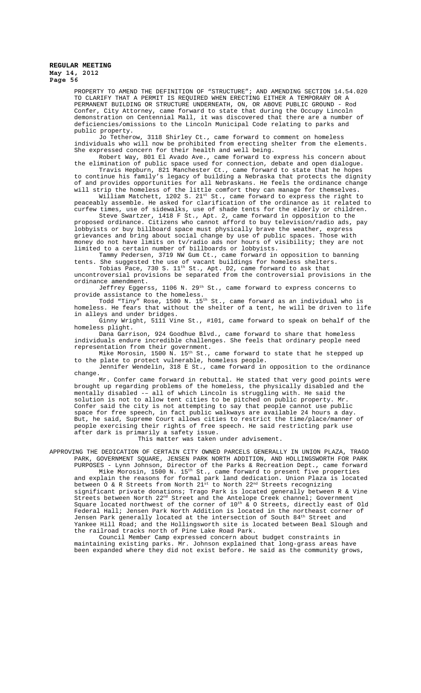PROPERTY TO AMEND THE DEFINITION OF "STRUCTURE"; AND AMENDING SECTION 14.54.020 TO CLARIFY THAT A PERMIT IS REQUIRED WHEN ERECTING EITHER A TEMPORARY OR A PERMANENT BUILDING OR STRUCTURE UNDERNEATH, ON, OR ABOVE PUBLIC GROUND - Rod Confer, City Attorney, came forward to state that during the Occupy Lincoln demonstration on Centennial Mall, it was discovered that there are a number of deficiencies/omissions to the Lincoln Municipal Code relating to parks and public property.

Jo Tetherow, 3118 Shirley Ct., came forward to comment on homeless individuals who will now be prohibited from erecting shelter from the elements. She expressed concern for their health and well being.

Robert Way, 801 El Avado Ave., came forward to express his concern about the elimination of public space used for connection, debate and open dialogue.

Travis Hepburn, 821 Manchester Ct., came forward to state that he hopes to continue his family's legacy of building a Nebraska that protects the dignity of and provides opportunities for all Nebraskans. He feels the ordinance change will strip the homeless of the little comfort they can manage for themselves.

William Matchett, 1202 S. 21st St., came forward to express the right to peaceably assemble. He asked for clarification of the ordinance as it related to curfew times, use of sidewalks, use of shade tents for the elderly or children.

Steve Swartzer, 1418 F St., Apt. 2, came forward in opposition to the proposed ordinance. Citizens who cannot afford to buy television/radio ads, pay lobbyists or buy billboard space must physically brave the weather, express grievances and bring about social change by use of public spaces. Those with money do not have limits on tv/radio ads nor hours of visibility; they are not limited to a certain number of billboards or lobbyists.

Tammy Pedersen, 3719 NW Gum Ct., came forward in opposition to banning tents. She suggested the use of vacant buildings for homeless shelters.

Tobias Pace, 730 S.  $11^{\text{th}}$  St., Apt. D2, came forward to ask that uncontroversial provisions be separated from the controversial provisions in the ordinance amendment.<br>Jeffrey Eggerss,

1106 N. 29<sup>th</sup> St., came forward to express concerns to provide assistance to the homeless.

Todd "Tiny" Rose, 1500 N. 15th St., came forward as an individual who is homeless. He fears that without the shelter of a tent, he will be driven to life in alleys and under bridges.

Ginny Wright, 5111 Vine St., #101, came forward to speak on behalf of the homeless plight.

Dana Garrison, 924 Goodhue Blvd., came forward to share that homeless individuals endure incredible challenges. She feels that ordinary people need representation from their government.

Mike Morosin,  $1500$  N.  $15^{\text{th}}$  St., came forward to state that he stepped up to the plate to protect vulnerable, homeless people.

Jennifer Wendelin, 318 E St., came forward in opposition to the ordinance change.

Mr. Confer came forward in rebuttal. He stated that very good points were brought up regarding problems of the homeless, the physically disabled and the mentally disabled -– all of which Lincoln is struggling with. He said the solution is not to allow tent cities to be pitched on public property. Mr<br>Confer said the city is not attempting to say that people cannot use publ: said the city is not attempting to say that people cannot use public space for free speech, in fact public walkways are available 24 hours a day. But, he said, Supreme Court allows cities to restrict the time/place/manner of people exercising their rights of free speech. He said restricting park use after dark is primarily a safety issue.

This matter was taken under advisement.

APPROVING THE DEDICATION OF CERTAIN CITY OWNED PARCELS GENERALLY IN UNION PLAZA, TRAGO PARK, GOVERNMENT SQUARE, JENSEN PARK NORTH ADDITION, AND HOLLINGSWORTH FOR PARK PURPOSES - Lynn Johnson, Director of the Parks & Recreation Dept., came forward

Mike Morosin, 1500 N. 15th St., came forward to present five properties and explain the reasons for formal park land dedication. Union Plaza is located between O & R Streets from North  $21^{\text{st}}$  to North  $22^{\text{nd}}$  Streets recognizing significant private donations; Trago Park is located generally between R & Vine Streets between North  $22^{\text{nd}}$  Street and the Antelope Creek channel; Government Square located northwest of the corner of  $10^{\rm th}$  & O Streets, directly east of Old Federal Hall; Jensen Park North Addition is located in the northeast corner of Jensen Park generally located at the intersection of South  $84^{\rm th}$  Street and Yankee Hill Road; and the Hollingsworth site is located between Beal Slough and the railroad tracks north of Pine Lake Road Park.

Council Member Camp expressed concern about budget constraints in maintaining existing parks. Mr. Johnson explained that long-grass areas have been expanded where they did not exist before. He said as the community grows,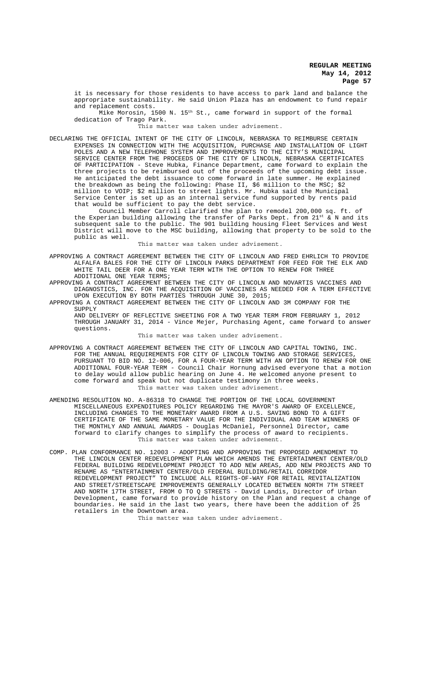it is necessary for those residents to have access to park land and balance the appropriate sustainability. He said Union Plaza has an endowment to fund repair and replacement costs.

Mike Morosin, 1500 N. 15<sup>th</sup> St., came forward in support of the formal dedication of Trago Park.

This matter was taken under advisement.

DECLARING THE OFFICIAL INTENT OF THE CITY OF LINCOLN, NEBRASKA TO REIMBURSE CERTAIN EXPENSES IN CONNECTION WITH THE ACQUISITION, PURCHASE AND INSTALLATION OF LIGHT POLES AND A NEW TELEPHONE SYSTEM AND IMPROVEMENTS TO THE CITY'S MUNICIPAL SERVICE CENTER FROM THE PROCEEDS OF THE CITY OF LINCOLN, NEBRASKA CERTIFICATES OF PARTICIPATION - Steve Hubka, Finance Department, came forward to explain the three projects to be reimbursed out of the proceeds of the upcoming debt issue. He anticipated the debt issuance to come forward in late summer. He explained the breakdown as being the following: Phase II, \$6 million to the MSC; \$2 million to VOIP; \$2 million to street lights. Mr. Hubka said the Municipal Service Center is set up as an internal service fund supported by rents paid that would be sufficient to pay the debt service.

Council Member Carroll clarified the plan to remodel 200,000 sq. ft. of the Experian building allowing the transfer of Parks Dept. from 21st & N and its subsequent sale to the public. The 901 building housing Fleet Services and West District will move to the MSC building, allowing that property to be sold to the public as well.

This matter was taken under advisement.

APPROVING A CONTRACT AGREEMENT BETWEEN THE CITY OF LINCOLN AND FRED EHRLICH TO PROVIDE ALFALFA BALES FOR THE CITY OF LINCOLN PARKS DEPARTMENT FOR FEED FOR THE ELK AND WHITE TAIL DEER FOR A ONE YEAR TERM WITH THE OPTION TO RENEW FOR THREE ADDITIONAL ONE YEAR TERMS;

APPROVING A CONTRACT AGREEMENT BETWEEN THE CITY OF LINCOLN AND NOVARTIS VACCINES AND DIAGNOSTICS, INC. FOR THE ACQUISITION OF VACCINES AS NEEDED FOR A TERM EFFECTIVE UPON EXECUTION BY BOTH PARTIES THROUGH JUNE 30, 2015;

APPROVING A CONTRACT AGREEMENT BETWEEN THE CITY OF LINCOLN AND 3M COMPANY FOR THE SUPPLY

AND DELIVERY OF REFLECTIVE SHEETING FOR A TWO YEAR TERM FROM FEBRUARY 1, 2012 THROUGH JANUARY 31, 2014 - Vince Mejer, Purchasing Agent, came forward to answer questions.

This matter was taken under advisement.

- APPROVING A CONTRACT AGREEMENT BETWEEN THE CITY OF LINCOLN AND CAPITAL TOWING, INC. FOR THE ANNUAL REQUIREMENTS FOR CITY OF LINCOLN TOWING AND STORAGE SERVICES, PURSUANT TO BID NO. 12-006, FOR A FOUR-YEAR TERM WITH AN OPTION TO RENEW FOR ONE ADDITIONAL FOUR-YEAR TERM - Council Chair Hornung advised everyone that a motion to delay would allow public hearing on June 4. He welcomed anyone present to come forward and speak but not duplicate testimony in three weeks. This matter was taken under advisement.
- AMENDING RESOLUTION NO. A-86318 TO CHANGE THE PORTION OF THE LOCAL GOVERNMENT MISCELLANEOUS EXPENDITURES POLICY REGARDING THE MAYOR'S AWARD OF EXCELLENCE, INCLUDING CHANGES TO THE MONETARY AWARD FROM A U.S. SAVING BOND TO A GIFT CERTIFICATE OF THE SAME MONETARY VALUE FOR THE INDIVIDUAL AND TEAM WINNERS OF THE MONTHLY AND ANNUAL AWARDS - Douglas McDaniel, Personnel Director, came forward to clarify changes to simplify the process of award to recipients. This matter was taken under advisement.
- COMP. PLAN CONFORMANCE NO. 12003 ADOPTING AND APPROVING THE PROPOSED AMENDMENT TO THE LINCOLN CENTER REDEVELOPMENT PLAN WHICH AMENDS THE ENTERTAINMENT CENTER/OLD FEDERAL BUILDING REDEVELOPMENT PROJECT TO ADD NEW AREAS, ADD NEW PROJECTS AND TO RENAME AS "ENTERTAINMENT CENTER/OLD FEDERAL BUILDING/RETAIL CORRIDOR REDEVELOPMENT PROJECT" TO INCLUDE ALL RIGHTS-OF-WAY FOR RETAIL REVITALIZATION AND STREET/STREETSCAPE IMPROVEMENTS GENERALLY LOCATED BETWEEN NORTH 7TH STREET AND NORTH 17TH STREET, FROM O TO Q STREETS - David Landis, Director of Urban Development, came forward to provide history on the Plan and request a change of boundaries. He said in the last two years, there have been the addition of 25 retailers in the Downtown area.

This matter was taken under advisement.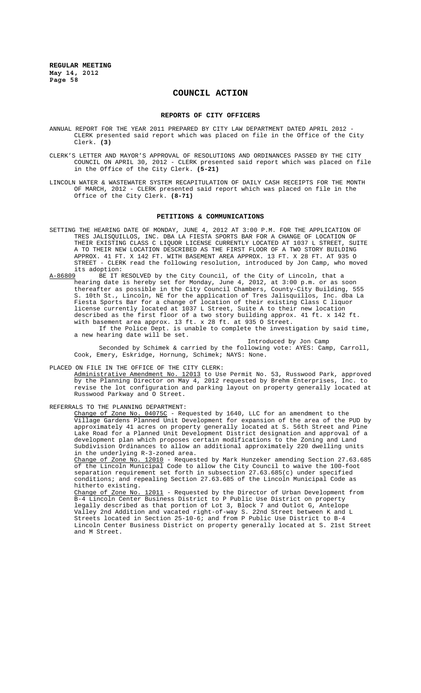# **COUNCIL ACTION**

#### **REPORTS OF CITY OFFICERS**

- ANNUAL REPORT FOR THE YEAR 2011 PREPARED BY CITY LAW DEPARTMENT DATED APRIL 2012 CLERK presented said report which was placed on file in the Office of the City Clerk. **(3)**
- CLERK'S LETTER AND MAYOR'S APPROVAL OF RESOLUTIONS AND ORDINANCES PASSED BY THE CITY COUNCIL ON APRIL 30, 2012 - CLERK presented said report which was placed on file in the Office of the City Clerk. **(5-21)**
- LINCOLN WATER & WASTEWATER SYSTEM RECAPITULATION OF DAILY CASH RECEIPTS FOR THE MONTH OF MARCH, 2012 - CLERK presented said report which was placed on file in the Office of the City Clerk. **(8-71)**

#### **PETITIONS & COMMUNICATIONS**

- SETTING THE HEARING DATE OF MONDAY, JUNE 4, 2012 AT 3:00 P.M. FOR THE APPLICATION OF TRES JALISQUILLOS, INC. DBA LA FIESTA SPORTS BAR FOR A CHANGE OF LOCATION OF THEIR EXISTING CLASS C LIQUOR LICENSE CURRENTLY LOCATED AT 1037 L STREET, SUITE A TO THEIR NEW LOCATION DESCRIBED AS THE FIRST FLOOR OF A TWO STORY BUILDING APPROX. 41 FT. X 142 FT. WITH BASEMENT AREA APPROX. 13 FT. X 28 FT. AT 935 O STREET - CLERK read the following resolution, introduced by Jon Camp, who moved its adoption:<br><u>A-86809</u> BE IT R
- BE IT RESOLVED by the City Council, of the City of Lincoln, that a hearing date is hereby set for Monday, June 4, 2012, at 3:00 p.m. or as soon thereafter as possible in the City Council Chambers, County-City Building, 555 S. 10th St., Lincoln, NE for the application of Tres Jalisquillos, Inc. dba La Fiesta Sports Bar for a change of location of their existing Class C liquor license currently located at 1037 L Street, Suite A to their new location described as the first floor of a two story building approx. 41 ft. x 142 ft. with basement area approx. 13 ft. x 28 ft. at 935 O Street.

If the Police Dept. is unable to complete the investigation by said time, a new hearing date will be set.

Introduced by Jon Camp Seconded by Schimek & carried by the following vote: AYES: Camp, Carroll, Cook, Emery, Eskridge, Hornung, Schimek; NAYS: None.

PLACED ON FILE IN THE OFFICE OF THE CITY CLERK: Administrative Amendment No. 12013 to Use Permit No. 53, Russwood Park, approved by the Planning Director on May 4, 2012 requested by Brehm Enterprises, Inc. to revise the lot configuration and parking layout on property generally located at Russwood Parkway and O Street.

REFERRALS TO THE PLANNING DEPARTMENT:

Change of Zone No. 04075C - Requested by 1640, LLC for an amendment to the Village Gardens Planned Unit Development for expansion of the area of the PUD by approximately 41 acres on property generally located at S. 56th Street and Pine Lake Road for a Planned Unit Development District designation and approval of a development plan which proposes certain modifications to the Zoning and Land Subdivision Ordinances to allow an additional approximately 220 dwelling units in the underlying R-3-zoned area.

Change of Zone No. 12010 - Requested by Mark Hunzeker amending Section 27.63.685 of the Lincoln Municipal Code to allow the City Council to waive the 100-foot separation requirement set forth in subsection 27.63.685(c) under specified conditions; and repealing Section 27.63.685 of the Lincoln Municipal Code as hitherto existing.

Change of Zone No. 12011 - Requested by the Director of Urban Development from B-4 Lincoln Center Business District to P Public Use District on property legally described as that portion of Lot 3, Block 7 and Outlot G, Antelope Valley 2nd Addition and vacated right-of-way S. 22nd Street between K and L Streets located in Section 25-10-6; and from P Public Use District to B-4 Lincoln Center Business District on property generally located at S. 21st Street and M Street.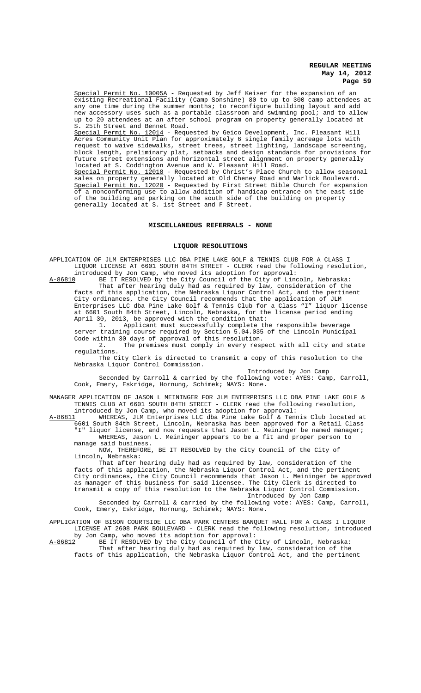Special Permit No. 10005A - Requested by Jeff Keiser for the expansion of an existing Recreational Facility (Camp Sonshine) 80 to up to 300 camp attendees at any one time during the summer months; to reconfigure building layout and add new accessory uses such as a portable classroom and swimming pool; and to allow up to 20 attendees at an after school program on property generally located at S. 25th Street and Bennet Road.

Special Permit No. 12014 - Requested by Geico Development, Inc. Pleasant Hill Acres Community Unit Plan for approximately 6 single family acreage lots with request to waive sidewalks, street trees, street lighting, landscape screening, block length, preliminary plat, setbacks and design standards for provisions for future street extensions and horizontal street alignment on property generally located at S. Coddington Avenue and W. Pleasant Hill Road.

Special Permit No. 12018 - Requested by Christ's Place Church to allow seasonal sales on property generally located at Old Cheney Road and Warlick Boulevard. Special Permit No. 12020 - Requested by First Street Bible Church for expansion of a nonconforming use to allow addition of handicap entrance on the east side of the building and parking on the south side of the building on property generally located at S. 1st Street and F Street.

#### **MISCELLANEOUS REFERRALS - NONE**

#### **LIQUOR RESOLUTIONS**

APPLICATION OF JLM ENTERPRISES LLC DBA PINE LAKE GOLF & TENNIS CLUB FOR A CLASS I LIQUOR LICENSE AT 6601 SOUTH 84TH STREET - CLERK read the following resolution, introduced by Jon Camp, who moved its adoption for approval:

A-86810 BE IT RESOLVED by the City Council of the City of Lincoln, Nebraska: That after hearing duly had as required by law, consideration of the facts of this application, the Nebraska Liquor Control Act, and the pertinent City ordinances, the City Council recommends that the application of JLM Enterprises LLC dba Pine Lake Golf & Tennis Club for a Class "I" liquor license at 6601 South 84th Street, Lincoln, Nebraska, for the license period ending April 30, 2013, be approved with the condition that:<br>1. Applicant must successfully complete the

Applicant must successfully complete the responsible beverage server training course required by Section 5.04.035 of the Lincoln Municipal Code within 30 days of approval of this resolution.

2. The premises must comply in every respect with all city and state regulations.

The City Clerk is directed to transmit a copy of this resolution to the Nebraska Liquor Control Commission.

Introduced by Jon Camp Seconded by Carroll & carried by the following vote: AYES: Camp, Carroll,

Cook, Emery, Eskridge, Hornung, Schimek; NAYS: None. MANAGER APPLICATION OF JASON L MEININGER FOR JLM ENTERPRISES LLC DBA PINE LAKE GOLF & TENNIS CLUB AT 6601 SOUTH 84TH STREET - CLERK read the following resolution,

introduced by Jon Camp, who moved its adoption for approval:<br>A-86811 WHEREAS, JLM Enterprises LLC dba Pine Lake Golf & Ten WHEREAS, JLM Enterprises LLC dba Pine Lake Golf & Tennis Club located at

6601 South 84th Street, Lincoln, Nebraska has been approved for a Retail Class "I" liquor license, and now requests that Jason L. Meininger be named manager; WHEREAS, Jason L. Meininger appears to be a fit and proper person to manage said business.

NOW, THEREFORE, BE IT RESOLVED by the City Council of the City of Lincoln, Nebraska:

That after hearing duly had as required by law, consideration of the facts of this application, the Nebraska Liquor Control Act, and the pertinent City ordinances, the City Council recommends that Jason L. Meininger be approved as manager of this business for said licensee. The City Clerk is directed to transmit a copy of this resolution to the Nebraska Liquor Control Commission. Introduced by Jon Camp

Seconded by Carroll & carried by the following vote: AYES: Camp, Carroll, Cook, Emery, Eskridge, Hornung, Schimek; NAYS: None.

APPLICATION OF BISON COURTSIDE LLC DBA PARK CENTERS BANQUET HALL FOR A CLASS I LIQUOR LICENSE AT 2608 PARK BOULEVARD - CLERK read the following resolution, introduced

by Jon Camp, who moved its adoption for approval:<br>A-86812 BE IT RESOLVED by the City Council of the C BE IT RESOLVED by the City Council of the City of Lincoln, Nebraska: That after hearing duly had as required by law, consideration of the facts of this application, the Nebraska Liquor Control Act, and the pertinent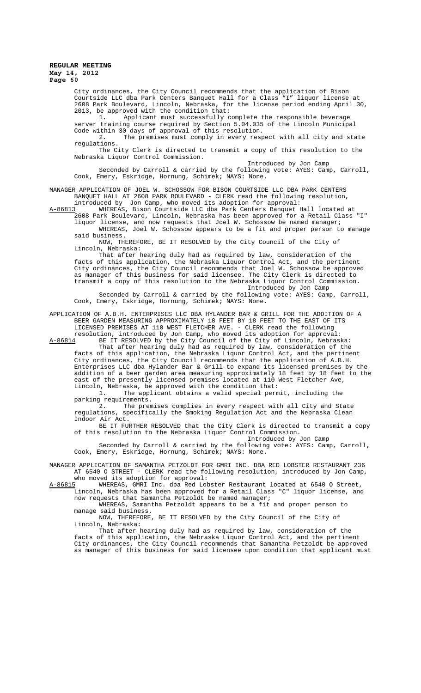City ordinances, the City Council recommends that the application of Bison Courtside LLC dba Park Centers Banquet Hall for a Class "I" liquor license at 2608 Park Boulevard, Lincoln, Nebraska, for the license period ending April 30, 2013, be approved with the condition that:<br>1. Applicant must successfully c

Applicant must successfully complete the responsible beverage server training course required by Section 5.04.035 of the Lincoln Municipal Code within 30 days of approval of this resolution.

2. The premises must comply in every respect with all city and state regulations.

The City Clerk is directed to transmit a copy of this resolution to the Nebraska Liquor Control Commission.

Introduced by Jon Camp

Seconded by Carroll & carried by the following vote: AYES: Camp, Carroll, Cook, Emery, Eskridge, Hornung, Schimek; NAYS: None.

MANAGER APPLICATION OF JOEL W. SCHOSSOW FOR BISON COURTSIDE LLC DBA PARK CENTERS BANQUET HALL AT 2608 PARK BOULEVARD - CLERK read the following resolution, introduced by Jon Camp, who moved its adoption for approval:

A-86813 WHEREAS, Bison Courtside LLC dba Park Centers Banquet Hall located at 2608 Park Boulevard, Lincoln, Nebraska has been approved for a Retail Class "I" liquor license, and now requests that Joel W. Schossow be named manager; WHEREAS, Joel W. Schossow appears to be a fit and proper person to manage said business.

NOW, THEREFORE, BE IT RESOLVED by the City Council of the City of Lincoln, Nebraska:

That after hearing duly had as required by law, consideration of the facts of this application, the Nebraska Liquor Control Act, and the pertinent City ordinances, the City Council recommends that Joel W. Schossow be approved as manager of this business for said licensee. The City Clerk is directed to transmit a copy of this resolution to the Nebraska Liquor Control Commission. Introduced by Jon Camp

Seconded by Carroll & carried by the following vote: AYES: Camp, Carroll, Cook, Emery, Eskridge, Hornung, Schimek; NAYS: None.

APPLICATION OF A.B.H. ENTERPRISES LLC DBA HYLANDER BAR & GRILL FOR THE ADDITION OF A BEER GARDEN MEASURING APPROXIMATELY 18 FEET BY 18 FEET TO THE EAST OF ITS LICENSED PREMISES AT 110 WEST FLETCHER AVE. - CLERK read the following

resolution, introduced by Jon Camp, who moved its adoption for approval: A-86814 BE IT RESOLVED by the City Council of the City of Lincoln, Nebraska:

That after hearing duly had as required by law, consideration of the facts of this application, the Nebraska Liquor Control Act, and the pertinent City ordinances, the City Council recommends that the application of A.B.H. Enterprises LLC dba Hylander Bar & Grill to expand its licensed premises by the addition of a beer garden area measuring approximately 18 feet by 18 feet to the east of the presently licensed premises located at 110 West Fletcher Ave, Lincoln, Nebraska, be approved with the condition that:

1. The applicant obtains a valid special permit, including the parking requirements.<br>2. The prem

The premises complies in every respect with all City and State regulations, specifically the Smoking Regulation Act and the Nebraska Clean Indoor Air Act.

BE IT FURTHER RESOLVED that the City Clerk is directed to transmit a copy of this resolution to the Nebraska Liquor Control Commission. Introduced by Jon Camp

Seconded by Carroll & carried by the following vote: AYES: Camp, Carroll, Cook, Emery, Eskridge, Hornung, Schimek; NAYS: None.

MANAGER APPLICATION OF SAMANTHA PETZOLDT FOR GMRI INC. DBA RED LOBSTER RESTAURANT 236 AT 6540 O STREET - CLERK read the following resolution, introduced by Jon Camp,

who moved its adoption for approval:<br>A-86815 WHEREAS, GMRI Inc. dba Red Lob WHEREAS, GMRI Inc. dba Red Lobster Restaurant located at 6540 O Street, Lincoln, Nebraska has been approved for a Retail Class "C" liquor license, and now requests that Samantha Petzoldt be named manager;

WHEREAS, Samantha Petzoldt appears to be a fit and proper person to manage said business.

NOW, THEREFORE, BE IT RESOLVED by the City Council of the City of Lincoln, Nebraska:

That after hearing duly had as required by law, consideration of the facts of this application, the Nebraska Liquor Control Act, and the pertinent City ordinances, the City Council recommends that Samantha Petzoldt be approved as manager of this business for said licensee upon condition that applicant must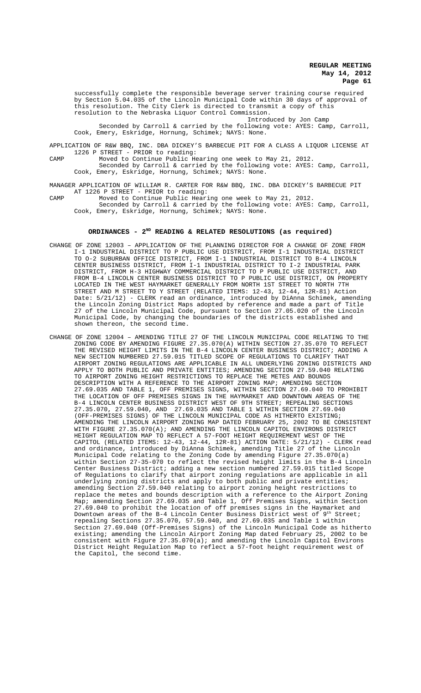successfully complete the responsible beverage server training course required by Section 5.04.035 of the Lincoln Municipal Code within 30 days of approval of this resolution. The City Clerk is directed to transmit a copy of this resolution to the Nebraska Liquor Control Commission.

Introduced by Jon Camp Seconded by Carroll & carried by the following vote: AYES: Camp, Carroll, Cook, Emery, Eskridge, Hornung, Schimek; NAYS: None.

APPLICATION OF R&W BBQ, INC. DBA DICKEY'S BARBECUE PIT FOR A CLASS A LIQUOR LICENSE AT 1226 P STREET - PRIOR to reading:

CAMP Moved to Continue Public Hearing one week to May 21, 2012. Seconded by Carroll & carried by the following vote: AYES: Camp, Carroll, Cook, Emery, Eskridge, Hornung, Schimek; NAYS: None.

MANAGER APPLICATION OF WILLIAM R. CARTER FOR R&W BBQ, INC. DBA DICKEY'S BARBECUE PIT AT 1226 P STREET - PRIOR to reading:

CAMP Moved to Continue Public Hearing one week to May 21, 2012. Seconded by Carroll & carried by the following vote: AYES: Camp, Carroll, Cook, Emery, Eskridge, Hornung, Schimek; NAYS: None.

# ORDINANCES - 2<sup>ND</sup> READING & RELATED RESOLUTIONS (as required)

- CHANGE OF ZONE 12003 APPLICATION OF THE PLANNING DIRECTOR FOR A CHANGE OF ZONE FROM I-1 INDUSTRIAL DISTRICT TO P PUBLIC USE DISTRICT, FROM I-1 INDUSTRIAL DISTRICT TO O-2 SUBURBAN OFFICE DISTRICT, FROM I-1 INDUSTRIAL DISTRICT TO B-4 LINCOLN CENTER BUSINESS DISTRICT, FROM I-1 INDUSTRIAL DISTRICT TO I-2 INDUSTRIAL PARK DISTRICT, FROM H-3 HIGHWAY COMMERCIAL DISTRICT TO P PUBLIC USE DISTRICT, AND FROM B-4 LINCOLN CENTER BUSINESS DISTRICT TO P PUBLIC USE DISTRICT, ON PROPERTY LOCATED IN THE WEST HAYMARKET GENERALLY FROM NORTH 1ST STREET TO NORTH 7TH STREET AND M STREET TO Y STREET (RELATED ITEMS: 12-43, 12-44, 12R-81) Action Date: 5/21/12) - CLERK read an ordinance, introduced by DiAnna Schimek, amending the Lincoln Zoning District Maps adopted by reference and made a part of Title 27 of the Lincoln Municipal Code, pursuant to Section 27.05.020 of the Lincoln Municipal Code, by changing the boundaries of the districts established and shown thereon, the second time.
- CHANGE OF ZONE 12004 AMENDING TITLE 27 OF THE LINCOLN MUNICIPAL CODE RELATING TO THE ZONING CODE BY AMENDING FIGURE 27.35.070(A) WITHIN SECTION 27.35.070 TO REFLECT THE REVISED HEIGHT LIMITS IN THE B-4 LINCOLN CENTER BUSINESS DISTRICT; ADDING A NEW SECTION NUMBERED 27.59.015 TITLED SCOPE OF REGULATIONS TO CLARIFY THAT AIRPORT ZONING REGULATIONS ARE APPLICABLE IN ALL UNDERLYING ZONING DISTRICTS AND APPLY TO BOTH PUBLIC AND PRIVATE ENTITIES; AMENDING SECTION 27.59.040 RELATING TO AIRPORT ZONING HEIGHT RESTRICTIONS TO REPLACE THE METES AND BOUNDS DESCRIPTION WITH A REFERENCE TO THE AIRPORT ZONING MAP; AMENDING SECTION 27.69.035 AND TABLE 1, OFF PREMISES SIGNS, WITHIN SECTION 27.69.040 TO PROHIBIT THE LOCATION OF OFF PREMISES SIGNS IN THE HAYMARKET AND DOWNTOWN AREAS OF THE B-4 LINCOLN CENTER BUSINESS DISTRICT WEST OF 9TH STREET; REPEALING SECTIONS 27.35.070, 27.59.040, AND 27.69.035 AND TABLE 1 WITHIN SECTION 27.69.040 (OFF-PREMISES SIGNS) OF THE LINCOLN MUNICIPAL CODE AS HITHERTO EXISTING; AMENDING THE LINCOLN AIRPORT ZONING MAP DATED FEBRUARY 25, 2002 TO BE CONSISTENT WITH FIGURE 27.35.070(A); AND AMENDING THE LINCOLN CAPITOL ENVIRONS DISTRICT HEIGHT REGULATION MAP TO REFLECT A 57-FOOT HEIGHT REQUIREMENT WEST OF THE CAPITOL (RELATED ITEMS: 12-43, 12-44, 12R-81) ACTION DATE: 5/21/12) - CLERK read and ordinance, introduced by DiAnna Schimek, amending Title 27 of the Lincoln Municipal Code relating to the Zoning Code by amending Figure 27.35.070(a) within Section 27-35-070 to reflect the revised height limits in the B-4 Lincoln Center Business District; adding a new section numbered 27.59.015 titled Scope of Regulations to clarify that airport zoning regulations are applicable in all underlying zoning districts and apply to both public and private entities; amending Section 27.59.040 relating to airport zoning height restrictions to replace the metes and bounds description with a reference to the Airport Zoning Map; amending Section 27.69.035 and Table 1, Off Premises Signs, within Section 27.69.040 to prohibit the location of off premises signs in the Haymarket and Downtown areas of the B-4 Lincoln Center Business District west of  $9^{th}$  Street; repealing Sections 27.35.070, 57.59.040, and 27.69.035 and Table 1 within Section 27.69.040 (Off-Premises Signs) of the Lincoln Municipal Code as hitherto existing; amending the Lincoln Airport Zoning Map dated February 25, 2002 to be consistent with Figure 27.35.070(a); and amending the Lincoln Capitol Environs District Height Regulation Map to reflect a 57-foot height requirement west of the Capitol, the second time.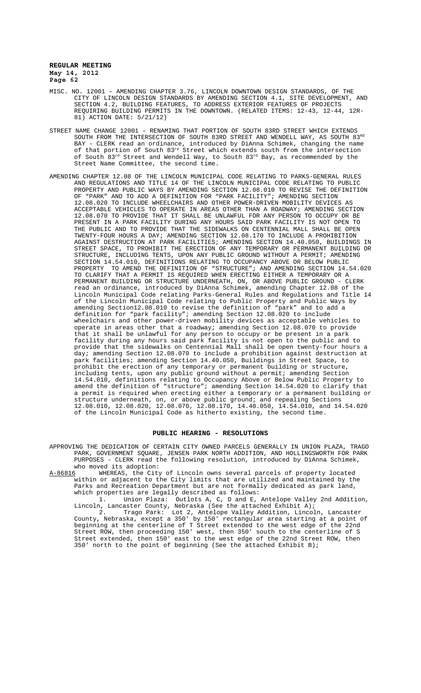- MISC. NO. 12001 AMENDING CHAPTER 3.76, LINCOLN DOWNTOWN DESIGN STANDARDS, OF THE CITY OF LINCOLN DESIGN STANDARDS BY AMENDING SECTION 4.1, SITE DEVELOPMENT, AND SECTION 4.2, BUILDING FEATURES, TO ADDRESS EXTERIOR FEATURES OF PROJECTS REQUIRING BUILDING PERMITS IN THE DOWNTOWN. (RELATED ITEMS: 12-43, 12-44, 12R-81) ACTION DATE: 5/21/12)
- STREET NAME CHANGE 12001 RENAMING THAT PORTION OF SOUTH 83RD STREET WHICH EXTENDS SOUTH FROM THE INTERSECTION OF SOUTH 83RD STREET AND WENDELL WAY, AS SOUTH 83RD BAY - CLERK read an ordinance, introduced by DiAnna Schimek, changing the name of that portion of South 83<sup>rd</sup> Street which extends south from the intersection of South  $83^{\text{rd}}$  Street and Wendell Way, to South  $83^{\text{rd}}$  Bay, as recommended by the Street Name Committee, the second time.
- AMENDING CHAPTER 12.08 OF THE LINCOLN MUNICIPAL CODE RELATING TO PARKS-GENERAL RULES AND REGULATIONS AND TITLE 14 OF THE LINCOLN MUNICIPAL CODE RELATING TO PUBLIC PROPERTY AND PUBLIC WAYS BY AMENDING SECTION 12.08.010 TO REVISE THE DEFINITION OF "PARK" AND TO ADD A DEFINITION FOR "PARK FACILITY"; AMENDING SECTION 12.08.020 TO INCLUDE WHEELCHAIRS AND OTHER POWER-DRIVEN MOBILITY DEVICES AS ACCEPTABLE VEHICLES TO OPERATE IN AREAS OTHER THAN A ROADWAY; AMENDING SECTION 12.08.070 TO PROVIDE THAT IT SHALL BE UNLAWFUL FOR ANY PERSON TO OCCUPY OR BE PRESENT IN A PARK FACILITY DURING ANY HOURS SAID PARK FACILITY IS NOT OPEN TO THE PUBLIC AND TO PROVIDE THAT THE SIDEWALKS ON CENTENNIAL MALL SHALL BE OPEN TWENTY-FOUR HOURS A DAY; AMENDING SECTION 12.08.170 TO INCLUDE A PROHIBITION AGAINST DESTRUCTION AT PARK FACILITIES; AMENDING SECTION 14.40.050, BUILDINGS IN STREET SPACE, TO PROHIBIT THE ERECTION OF ANY TEMPORARY OR PERMANENT BUILDING OR STRUCTURE, INCLUDING TENTS, UPON ANY PUBLIC GROUND WITHOUT A PERMIT; AMENDING SECTION 14.54.010, DEFINITIONS RELATING TO OCCUPANCY ABOVE OR BELOW PUBLIC PROPERTY TO AMEND THE DEFINITION OF "STRUCTURE"; AND AMENDING SECTION 14.54.020 TO CLARIFY THAT A PERMIT IS REQUIRED WHEN ERECTING EITHER A TEMPORARY OR A PERMANENT BUILDING OR STRUCTURE UNDERNEATH, ON, OR ABOVE PUBLIC GROUND - CLERK read an ordinance, introduced by DiAnna Schimek, amending Chapter 12.08 of the Lincoln Municipal Code relating Parks-General Rules and Regulations and Title 14 of the Lincoln Municipal Code relating to Public Property and Public Ways by amending Section12.08.010 to revise the definition of "park" and to add a<br>definition for "park facility"; amending Section 12.08.020 to include "park facility"; amending Section 12.08.020 to include wheelchairs and other power-driven mobility devices as acceptable vehicles to operate in areas other that a roadway; amending Section 12.08.070 to provide that it shall be unlawful for any person to occupy or be present in a park facility during any hours said park facility is not open to the public and to provide that the sidewalks on Centennial Mall shall be open twenty-four hours a day; amending Section 12.08.070 to include a prohibition against destruction at park facilities; amending Section 14.40.050, Buildings in Street Space, to prohibit the erection of any temporary or permanent building or structure, including tents, upon any public ground without a permit; amending Section 14.54.010, definitions relating to Occupancy Above or Below Public Property to amend the definition of "structure"; amending Section 14.54.020 to clarify that a permit is required when erecting either a temporary or a permanent building or structure underneath, on, or above public ground; and repealing Sections 12.08.010, 12.08.020, 12.08.070, 12.08.170, 14.40.050, 14.54.010, and 14.54.020 of the Lincoln Municipal Code as hitherto existing, the second time.

#### **PUBLIC HEARING - RESOLUTIONS**

APPROVING THE DEDICATION OF CERTAIN CITY OWNED PARCELS GENERALLY IN UNION PLAZA, TRAGO PARK, GOVERNMENT SQUARE, JENSEN PARK NORTH ADDITION, AND HOLLINGSWORTH FOR PARK PURPOSES - CLERK read the following resolution, introduced by DiAnna Schimek,

who moved its adoption:<br>A-86816 WHEREAS, the City WHEREAS, the City of Lincoln owns several parcels of property located within or adjacent to the City limits that are utilized and maintained by the Parks and Recreation Department but are not formally dedicated as park land, which properties are legally described as follows:

1. Union Plaza: Outlots A, C, D and E, Antelope Valley 2nd Addition, Lincoln, Lancaster County, Nebraska (See the attached Exhibit A); 2. Trago Park: Lot 2, Antelope Valley Addition, Lincoln, Lancaster County, Nebraska, except a 350' by 150' rectangular area starting at a point of beginning at the centerline of T Street extended to the west edge of the 22nd Street ROW, then proceeding 150' west, then 350' south to the centerline of S Street extended, then 150' east to the west edge of the 22nd Street ROW, then 350' north to the point of beginning (See the attached Exhibit B);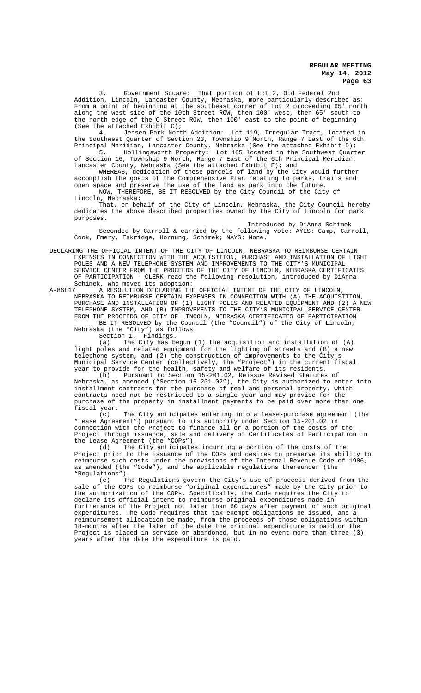3. Government Square: That portion of Lot 2, Old Federal 2nd Addition, Lincoln, Lancaster County, Nebraska, more particularly described as: From a point of beginning at the southeast corner of Lot 2 proceeding 65' north along the west side of the 10th Street ROW, then 100' west, then 65' south to the north edge of the O Street ROW, then 100' east to the point of beginning (See the attached Exhibit C);

4. Jensen Park North Addition: Lot 119, Irregular Tract, located in the Southwest Quarter of Section 23, Township 9 North, Range 7 East of the 6th Principal Meridian, Lancaster County, Nebraska (See the attached Exhibit D);

5. Hollingsworth Property: Lot 165 located in the Southwest Quarter of Section 16, Township 9 North, Range 7 East of the 6th Principal Meridian, Lancaster County, Nebraska (See the attached Exhibit E); and

WHEREAS, dedication of these parcels of land by the City would further accomplish the goals of the Comprehensive Plan relating to parks, trails and open space and preserve the use of the land as park into the future. NOW, THEREFORE, BE IT RESOLVED by the City Council of the City

Lincoln, Nebraska:

That, on behalf of the City of Lincoln, Nebraska, the City Council hereby dedicates the above described properties owned by the City of Lincoln for park purposes.

Introduced by DiAnna Schimek Seconded by Carroll & carried by the following vote: AYES: Camp, Carroll, Cook, Emery, Eskridge, Hornung, Schimek; NAYS: None.

DECLARING THE OFFICIAL INTENT OF THE CITY OF LINCOLN, NEBRASKA TO REIMBURSE CERTAIN EXPENSES IN CONNECTION WITH THE ACQUISITION, PURCHASE AND INSTALLATION OF LIGHT POLES AND A NEW TELEPHONE SYSTEM AND IMPROVEMENTS TO THE CITY'S MUNICIPAL SERVICE CENTER FROM THE PROCEEDS OF THE CITY OF LINCOLN, NEBRASKA CERTIFICATES OF PARTICIPATION - CLERK read the following resolution, introduced by DiAnna Schimek, who moved its adoption:<br>A-86817 A RESOLUTION DECLARING THE

A-86817 A RESOLUTION DECLARING THE OFFICIAL INTENT OF THE CITY OF LINCOLN, NEBRASKA TO REIMBURSE CERTAIN EXPENSES IN CONNECTION WITH (A) THE ACQUISITION, PURCHASE AND INSTALLATION OF (1) LIGHT POLES AND RELATED EQUIPMENT AND (2) A NEW TELEPHONE SYSTEM, AND (B) IMPROVEMENTS TO THE CITY'S MUNICIPAL SERVICE CENTER FROM THE PROCEEDS OF CITY OF LINCOLN, NEBRASKA CERTIFICATES OF PARTICIPATION BE IT RESOLVED by the Council (the "Council") of the City of Lincoln, Nebraska (the "City") as follows:

Section 1. Findings.

(a) The City has begun (1) the acquisition and installation of (A) light poles and related equipment for the lighting of streets and (B) a new telephone system, and (2) the construction of improvements to the City's Municipal Service Center (collectively, the "Project") in the current fiscal year to provide for the health, safety and welfare of its residents.

(b) Pursuant to Section 15-201.02, Reissue Revised Statutes of Nebraska, as amended ("Section 15-201.02"), the City is authorized to enter into installment contracts for the purchase of real and personal property, which contracts need not be restricted to a single year and may provide for the purchase of the property in installment payments to be paid over more than one fiscal year.<br> $(c)$ 

The City anticipates entering into a lease-purchase agreement (the "Lease Agreement") pursuant to its authority under Section 15-201.02 in connection with the Project to finance all or a portion of the costs of the Project through issuance, sale and delivery of Certificates of Participation in the Lease Agreement (the "COPs").

(d) The City anticipates incurring a portion of the costs of the Project prior to the issuance of the COPs and desires to preserve its ability to reimburse such costs under the provisions of the Internal Revenue Code of 1986, as amended (the "Code"), and the applicable regulations thereunder (the "Regulations").<br>(e) The

The Regulations govern the City's use of proceeds derived from the sale of the COPs to reimburse "original expenditures" made by the City prior to the authorization of the COPs. Specifically, the Code requires the City to declare its official intent to reimburse original expenditures made in furtherance of the Project not later than 60 days after payment of such original expenditures. The Code requires that tax-exempt obligations be issued, and a reimbursement allocation be made, from the proceeds of those obligations within 18-months after the later of the date the original expenditure is paid or the Project is placed in service or abandoned, but in no event more than three (3) years after the date the expenditure is paid.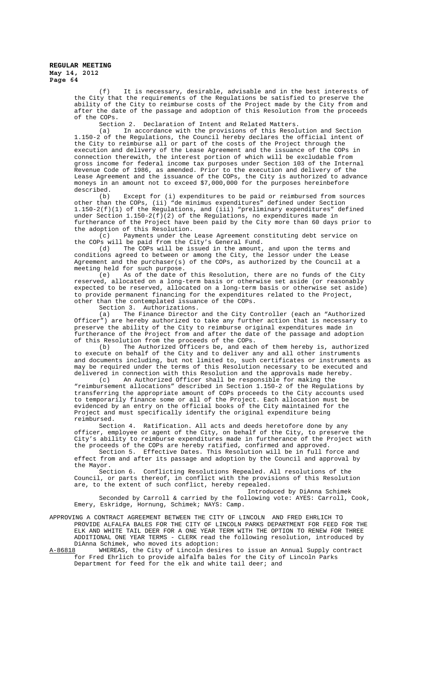(f) It is necessary, desirable, advisable and in the best interests of the City that the requirements of the Regulations be satisfied to preserve the ability of the City to reimburse costs of the Project made by the City from and after the date of the passage and adoption of this Resolution from the proceeds of the COPs.

Section 2. Declaration of Intent and Related Matters.

(a) In accordance with the provisions of this Resolution and Section 1.150-2 of the Regulations, the Council hereby declares the official intent of the City to reimburse all or part of the costs of the Project through the execution and delivery of the Lease Agreement and the issuance of the COPs in connection therewith, the interest portion of which will be excludable from gross income for federal income tax purposes under Section 103 of the Internal Revenue Code of 1986, as amended. Prior to the execution and delivery of the Lease Agreement and the issuance of the COPs, the City is authorized to advance moneys in an amount not to exceed \$7,000,000 for the purposes hereinbefore described.

(b) Except for (i) expenditures to be paid or reimbursed from sources other than the COPs, (ii) "de minimus expenditures" defined under Section 1.150-2(f)(1) of the Regulations, and (iii) "preliminary expenditures" defined under Section 1.150-2(f)(2) of the Regulations, no expenditures made in furtherance of the Project have been paid by the City more than 60 days prior to the adoption of this Resolution.<br>(c) Payments under the

Payments under the Lease Agreement constituting debt service on the COPs will be paid from the City's General Fund.

(d) The COPs will be issued in the amount, and upon the terms and conditions agreed to between or among the City, the lessor under the Lease Agreement and the purchaser(s) of the COPs, as authorized by the Council at a meeting held for such purpose.<br>(e) As of the date of

As of the date of this Resolution, there are no funds of the City reserved, allocated on a long-term basis or otherwise set aside (or reasonably expected to be reserved, allocated on a long-term basis or otherwise set aside) to provide permanent financing for the expenditures related to the Project, other than the contemplated issuance of the COPs.

Section 3. Authorizations.

(a) The Finance Director and the City Controller (each an "Authorized Officer") are hereby authorized to take any further action that is necessary to preserve the ability of the City to reimburse original expenditures made in furtherance of the Project from and after the date of the passage and adoption of this Resolution from the proceeds of the COPs.

(b) The Authorized Officers be, and each of them hereby is, authorized to execute on behalf of the City and to deliver any and all other instruments and documents including, but not limited to, such certificates or instruments as may be required under the terms of this Resolution necessary to be executed and delivered in connection with this Resolution and the approvals made hereby.

(c) An Authorized Officer shall be responsible for making the "reimbursement allocations" described in Section 1.150-2 of the Regulations by transferring the appropriate amount of COPs proceeds to the City accounts used to temporarily finance some or all of the Project. Each allocation must be evidenced by an entry on the official books of the City maintained for the Project and must specifically identify the original expenditure being reimbursed.

Section 4. Ratification. All acts and deeds heretofore done by any officer, employee or agent of the City, on behalf of the City, to preserve the City's ability to reimburse expenditures made in furtherance of the Project with the proceeds of the COPs are hereby ratified, confirmed and approved.

Section 5. Effective Dates. This Resolution will be in full force and effect from and after its passage and adoption by the Council and approval by the Mayor.<br>Section 6.

Conflicting Resolutions Repealed. All resolutions of the Council, or parts thereof, in conflict with the provisions of this Resolution are, to the extent of such conflict, hereby repealed.

Introduced by DiAnna Schimek Seconded by Carroll & carried by the following vote: AYES: Carroll, Cook, Emery, Eskridge, Hornung, Schimek; NAYS: Camp.

APPROVING A CONTRACT AGREEMENT BETWEEN THE CITY OF LINCOLN AND FRED EHRLICH TO PROVIDE ALFALFA BALES FOR THE CITY OF LINCOLN PARKS DEPARTMENT FOR FEED FOR THE ELK AND WHITE TAIL DEER FOR A ONE YEAR TERM WITH THE OPTION TO RENEW FOR THREE ADDITIONAL ONE YEAR TERMS - CLERK read the following resolution, introduced by DiAnna Schimek, who moved its adoption:<br>A-86818 WHEREAS, the City of Lincoln desi

A-86818 WHEREAS, the City of Lincoln desires to issue an Annual Supply contract for Fred Ehrlich to provide alfalfa bales for the City of Lincoln Parks Department for feed for the elk and white tail deer; and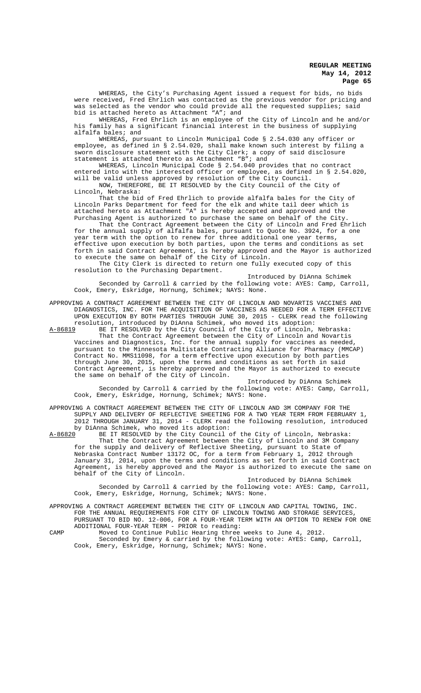WHEREAS, the City's Purchasing Agent issued a request for bids, no bids were received, Fred Ehrlich was contacted as the previous vendor for pricing and was selected as the vendor who could provide all the requested supplies; said bid is attached hereto as Attachment "A"; and

WHEREAS, Fred Ehrlich is an employee of the City of Lincoln and he and/or his family has a significant financial interest in the business of supplying alfalfa bales; and

WHEREAS, pursuant to Lincoln Municipal Code § 2.54.030 any officer or employee, as defined in § 2.54.020, shall make known such interest by filing a sworn disclosure statement with the City Clerk; a copy of said disclosure statement is attached thereto as Attachment "B"; and

WHEREAS, Lincoln Municipal Code § 2.54.040 provides that no contract entered into with the interested officer or employee, as defined in § 2.54.020, will be valid unless approved by resolution of the City Council.

NOW, THEREFORE, BE IT RESOLVED by the City Council of the City of Lincoln, Nebraska:

That the bid of Fred Ehrlich to provide alfalfa bales for the City of Lincoln Parks Department for feed for the elk and white tail deer which is attached hereto as Attachment "A" is hereby accepted and approved and the Purchasing Agent is authorized to purchase the same on behalf of the City.

That the Contract Agreement between the City of Lincoln and Fred Ehrlich for the annual supply of alfalfa bales, pursuant to Quote No. 3924, for a one year term with the option to renew for three additional one year terms, effective upon execution by both parties, upon the terms and conditions as set forth in said Contract Agreement, is hereby approved and the Mayor is authorized to execute the same on behalf of the City of Lincoln.

The City Clerk is directed to return one fully executed copy of this resolution to the Purchasing Department.

Introduced by DiAnna Schimek Seconded by Carroll & carried by the following vote: AYES: Camp, Carroll, Cook, Emery, Eskridge, Hornung, Schimek; NAYS: None.

APPROVING A CONTRACT AGREEMENT BETWEEN THE CITY OF LINCOLN AND NOVARTIS VACCINES AND DIAGNOSTICS, INC. FOR THE ACQUISITION OF VACCINES AS NEEDED FOR A TERM EFFECTIVE UPON EXECUTION BY BOTH PARTIES THROUGH JUNE 30, 2015 - CLERK read the following resolution, introduced by DiAnna Schimek, who moved its adoption:

A-86819 BE IT RESOLVED by the City Council of the City of Lincoln, Nebraska: That the Contract Agreement between the City of Lincoln and Novartis Vaccines and Diagnostics, Inc. for the annual supply for vaccines as needed, pursuant to the Minnesota Multistate Contracting Alliance for Pharmacy (MMCAP) Contract No. MMS11098, for a term effective upon execution by both parties through June 30, 2015, upon the terms and conditions as set forth in said Contract Agreement, is hereby approved and the Mayor is authorized to execute the same on behalf of the City of Lincoln.

Introduced by DiAnna Schimek Seconded by Carroll & carried by the following vote: AYES: Camp, Carroll, Cook, Emery, Eskridge, Hornung, Schimek; NAYS: None.

APPROVING A CONTRACT AGREEMENT BETWEEN THE CITY OF LINCOLN AND 3M COMPANY FOR THE SUPPLY AND DELIVERY OF REFLECTIVE SHEETING FOR A TWO YEAR TERM FROM FEBRUARY 1, 2012 THROUGH JANUARY 31, 2014 - CLERK read the following resolution, introduced by DiAnna Schimek, who moved its adoption:

A-86820 BE IT RESOLVED by the City Council of the City of Lincoln, Nebraska: That the Contract Agreement between the City of Lincoln and 3M Company for the supply and delivery of Reflective Sheeting, pursuant to State of Nebraska Contract Number 13172 OC, for a term from February 1, 2012 through January 31, 2014, upon the terms and conditions as set forth in said Contract Agreement, is hereby approved and the Mayor is authorized to execute the same on behalf of the City of Lincoln.

Introduced by DiAnna Schimek Seconded by Carroll & carried by the following vote: AYES: Camp, Carroll, Cook, Emery, Eskridge, Hornung, Schimek; NAYS: None.

APPROVING A CONTRACT AGREEMENT BETWEEN THE CITY OF LINCOLN AND CAPITAL TOWING, INC. FOR THE ANNUAL REQUIREMENTS FOR CITY OF LINCOLN TOWING AND STORAGE SERVICES,

PURSUANT TO BID NO. 12-006, FOR A FOUR-YEAR TERM WITH AN OPTION TO RENEW FOR ONE ADDITIONAL FOUR-YEAR TERM - PRIOR to reading:

CAMP Moved to Continue Public Hearing three weeks to June 4, 2012. Seconded by Emery & carried by the following vote: AYES: Camp, Carroll, Cook, Emery, Eskridge, Hornung, Schimek; NAYS: None.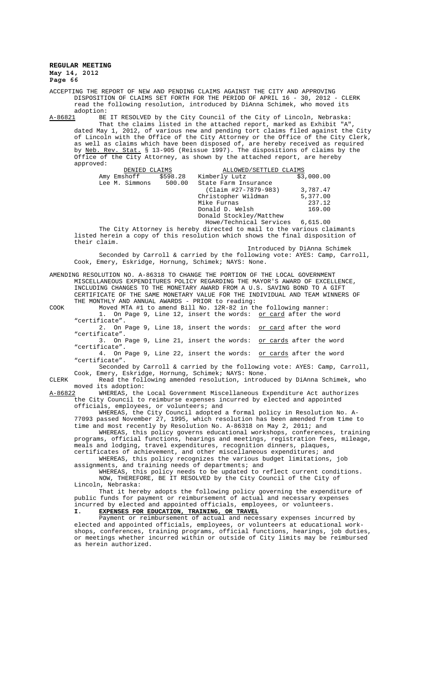ACCEPTING THE REPORT OF NEW AND PENDING CLAIMS AGAINST THE CITY AND APPROVING DISPOSITION OF CLAIMS SET FORTH FOR THE PERIOD OF APRIL 16 - 30, 2012 - CLERK read the following resolution, introduced by DiAnna Schimek, who moved its adoption:<br><u>A-86821</u> BE

BE IT RESOLVED by the City Council of the City of Lincoln, Nebraska: That the claims listed in the attached report, marked as Exhibit "A", dated May 1, 2012, of various new and pending tort claims filed against the City of Lincoln with the Office of the City Attorney or the Office of the City Clerk, as well as claims which have been disposed of, are hereby received as required by <u>Neb. Rev. Stat.</u> § 13-905 (Reissue 1997). The dispositions of claims by the Office of the City Attorney, as shown by the attached report, are hereby approved:

| DENIED CLAIMS        |        | ALLOWED/SETTLED CLAIMS  |            |
|----------------------|--------|-------------------------|------------|
| Amy Emshoff \$598.28 |        | Kimberly Lutz           | \$3,000.00 |
| Lee M. Simmons       | 500.00 | State Farm Insurance    |            |
|                      |        | (Claim #27-7879-983)    | 3,787.47   |
|                      |        | Christopher Wildman     | 5,377.00   |
|                      |        | Mike Furnas             | 237.12     |
|                      |        | Donald D. Welsh         | 169.00     |
|                      |        | Donald Stockley/Matthew |            |
|                      |        | Howe/Technical Services | 6.615.00   |

The City Attorney is hereby directed to mail to the various claimants listed herein a copy of this resolution which shows the final disposition of their claim.

Introduced by DiAnna Schimek Seconded by Carroll & carried by the following vote: AYES: Camp, Carroll, Cook, Emery, Eskridge, Hornung, Schimek; NAYS: None.

AMENDING RESOLUTION NO. A-86318 TO CHANGE THE PORTION OF THE LOCAL GOVERNMENT MISCELLANEOUS EXPENDITURES POLICY REGARDING THE MAYOR'S AWARD OF EXCELLENCE, INCLUDING CHANGES TO THE MONETARY AWARD FROM A U.S. SAVING BOND TO A GIFT CERTIFICATE OF THE SAME MONETARY VALUE FOR THE INDIVIDUAL AND TEAM WINNERS OF

THE MONTHLY AND ANNUAL AWARDS - PRIOR to reading:

COOK Moved MTA #1 to amend Bill No. 12R-82 in the following manner: 1. On Page 9, Line 12, insert the words: <u>or card</u> after the word "certificate".

2. On Page 9, Line 18, insert the words: or card after the word "certificate".

3. On Page 9, Line 21, insert the words: or cards after the word "certificate".

4. On Page 9, Line 22, insert the words: or cards after the word "certificate".

Seconded by Carroll & carried by the following vote: AYES: Camp, Carroll, Cook, Emery, Eskridge, Hornung, Schimek; NAYS: None.

CLERK Read the following amended resolution, introduced by DiAnna Schimek, who moved its adoption:<br>A-86822 WHEREAS, the

WHEREAS, the Local Government Miscellaneous Expenditure Act authorizes the City Council to reimburse expenses incurred by elected and appointed officials, employees,

WHEREAS, the City Council adopted a formal policy in Resolution No. A-77093 passed November 27, 1995, which resolution has been amended from time to time and most recently by Resolution No. A-86318 on May 2, 2011; and WHEREAS, this policy governs educational workshops, conferences, training

programs, official functions, hearings and meetings, registration fees, mileage, meals and lodging, travel expenditures, recognition dinners, plaques, certificates of achievement, and other miscellaneous expenditures; and

WHEREAS, this policy recognizes the various budget limitations, job assignments, and training needs of departments; and

WHEREAS, this policy needs to be updated to reflect current conditions. NOW, THEREFORE, BE IT RESOLVED by the City Council of the City of Lincoln, Nebraska:

That it hereby adopts the following policy governing the expenditure of public funds for payment or reimbursement of actual and necessary expenses incurred by elected and appointed officials, employees, or volunteers.

**I. EXPENSES FOR EDUCATION, TRAINING, OR TRAVEL**

Payment or reimbursement of actual and necessary expenses incurred by elected and appointed officials, employees, or volunteers at educational workshops, conferences, training programs, official functions, hearings, job duties, or meetings whether incurred within or outside of City limits may be reimbursed as herein authorized.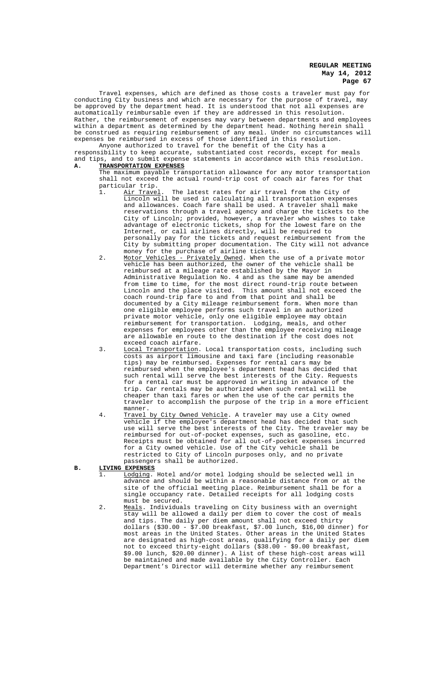Travel expenses, which are defined as those costs a traveler must pay for conducting City business and which are necessary for the purpose of travel, may be approved by the department head. It is understood that not all expenses are automatically reimbursable even if they are addressed in this resolution. Rather, the reimbursement of expenses may vary between departments and employees within a department as determined by the department head. Nothing herein shall be construed as requiring reimbursement of any meal. Under no circumstances will expenses be reimbursed in excess of those identified in this resolution. Anyone authorized to travel for the benefit of the City has a

responsibility to keep accurate, substantiated cost records, except for meals and tips, and to submit expense statements in accordance with this resolution.<br>A. TRANSPORTATION EXPENSES **A. TRANSPORTATION EXPENSES**

- The maximum payable transportation allowance for any motor transportation shall not exceed the actual round-trip cost of coach air fares for that particular trip.
- 1. Air Travel. The latest rates for air travel from the City of Lincoln will be used in calculating all transportation expenses and allowances. Coach fare shall be used. A traveler shall make reservations through a travel agency and charge the tickets to the City of Lincoln; provided, however, a traveler who wishes to take advantage of electronic tickets, shop for the lowest fare on the Internet, or call airlines directly, will be required to personally pay for the tickets and request reimbursement from the City by submitting proper documentation. The City will not advance money for the purchase of airline tickets.
- 2. Motor Vehicles Privately Owned. When the use of a private motor vehicle has been authorized, the owner of the vehicle shall be reimbursed at a mileage rate established by the Mayor in Administrative Regulation No. 4 and as the same may be amended from time to time, for the most direct round-trip route between<br>Lincoln and the place visited. This amount shall not exceed th This amount shall not exceed the coach round-trip fare to and from that point and shall be documented by a City mileage reimbursement form. When more than one eligible employee performs such travel in an authorized private motor vehicle, only one eligible employee may obtain reimbursement for transportation. Lodging, meals, and other expenses for employees other than the employee receiving mileage are allowable en route to the destination if the cost does not exceed coach airfare.
- 3. Local Transportation. Local transportation costs, including such costs as airport limousine and taxi fare (including reasonable tips) may be reimbursed. Expenses for rental cars may be reimbursed when the employee's department head has decided that such rental will serve the best interests of the City. Requests for a rental car must be approved in writing in advance of the trip. Car rentals may be authorized when such rental will be cheaper than taxi fares or when the use of the car permits the traveler to accomplish the purpose of the trip in a more efficient manner.<br>Travel by
- 4. Travel by City Owned Vehicle. A traveler may use a City owned vehicle if the employee's department head has decided that such use will serve the best interests of the City. The traveler may be reimbursed for out-of-pocket expenses, such as gasoline, etc. Receipts must be obtained for all out-of-pocket expenses incurred for a City owned vehicle. Use of the City vehicle shall be restricted to City of Lincoln purposes only, and no private passengers shall be authorized.

**B. LIVING EXPENSES**

- 1. Lodging. Hotel and/or motel lodging should be selected well in advance and should be within a reasonable distance from or at the site of the official meeting place. Reimbursement shall be for a single occupancy rate. Detailed receipts for all lodging costs must be secured.
- 2. Meals. Individuals traveling on City business with an overnight stay will be allowed a daily per diem to cover the cost of meals and tips. The daily per diem amount shall not exceed thirty dollars (\$30.00 - \$7.00 breakfast, \$7.00 lunch, \$16,00 dinner) for most areas in the United States. Other areas in the United States are designated as high-cost areas, qualifying for a daily per diem not to exceed thirty-eight dollars (\$38.00 - \$9.00 breakfast, \$9.00 lunch, \$20.00 dinner). A list of these high-cost areas will be maintained and made available by the City Controller. Each Department's Director will determine whether any reimbursement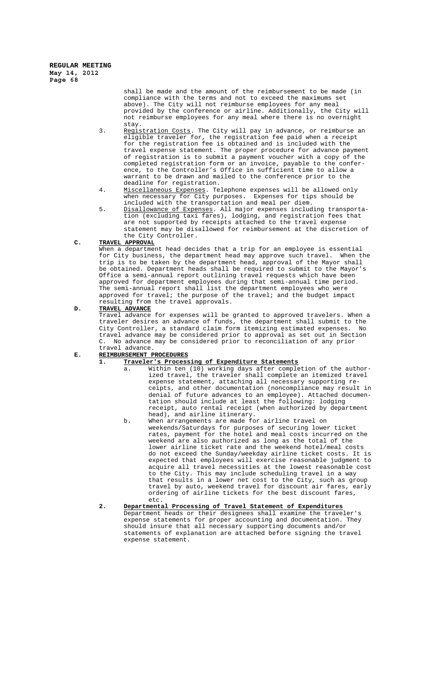> shall be made and the amount of the reimbursement to be made (in compliance with the terms and not to exceed the maximums set above). The City will not reimburse employees for any meal provided by the conference or airline. Additionally, the City will not reimburse employees for any meal where there is no overnight stay.

- 3. Registration Costs. The City will pay in advance, or reimburse an eligible traveler for, the registration fee paid when a receipt for the registration fee is obtained and is included with the travel expense statement. The proper procedure for advance payment of registration is to submit a payment voucher with a copy of the completed registration form or an invoice, payable to the conference, to the Controller's Office in sufficient time to allow a warrant to be drawn and mailed to the conference prior to the deadline for registration.
- 4. Miscellaneous Expenses. Telephone expenses will be allowed only when necessary for City purposes. Expenses for tips should be included with the transportation and meal per diem.
- 5. Disallowance of Expenses. All major expenses including transportation (excluding taxi fares), lodging, and registration fees that are not supported by receipts attached to the travel expense statement may be disallowed for reimbursement at the discretion of the City Controller.

# **C. TRAVEL APPROVAL**

When a department head decides that a trip for an employee is essential for City business, the department head may approve such travel. When the trip is to be taken by the department head, approval of the Mayor shall be obtained. Department heads shall be required to submit to the Mayor's Office a semi-annual report outlining travel requests which have been approved for department employees during that semi-annual time period. The semi-annual report shall list the department employees who were approved for travel; the purpose of the travel; and the budget impact resulting from the travel approvals.

# **D. TRAVEL ADVANCE**

Travel advance for expenses will be granted to approved travelers. When a traveler desires an advance of funds, the department shall submit to the City Controller, a standard claim form itemizing estimated expenses. No travel advance may be considered prior to approval as set out in Section C. No advance may be considered prior to reconciliation of any prior travel advance.

# **E. REIMBURSEMENT PROCEDURES**

- **1. Traveler's Processing of Expenditure Statements**
	- a. Within ten (10) working days after completion of the authorized travel, the traveler shall complete an itemized travel expense statement, attaching all necessary supporting receipts, and other documentation (noncompliance may result in denial of future advances to an employee). Attached documentation should include at least the following: lodging receipt, auto rental receipt (when authorized by department head), and airline itinerary.
	- b. When arrangements are made for airline travel on weekends/Saturdays for purposes of securing lower ticket rates, payment for the hotel and meal costs incurred on the weekend are also authorized as long as the total of the lower airline ticket rate and the weekend hotel/meal costs do not exceed the Sunday/weekday airline ticket costs. It is expected that employees will exercise reasonable judgment to acquire all travel necessities at the lowest reasonable cost to the City. This may include scheduling travel in a way that results in a lower net cost to the City, such as group travel by auto, weekend travel for discount air fares, early ordering of airline tickets for the best discount fares, etc.
- **2. Departmental Processing of Travel Statement of Expenditures** Department heads or their designees shall examine the traveler's expense statements for proper accounting and documentation. They should insure that all necessary supporting documents and/or statements of explanation are attached before signing the travel expense statement.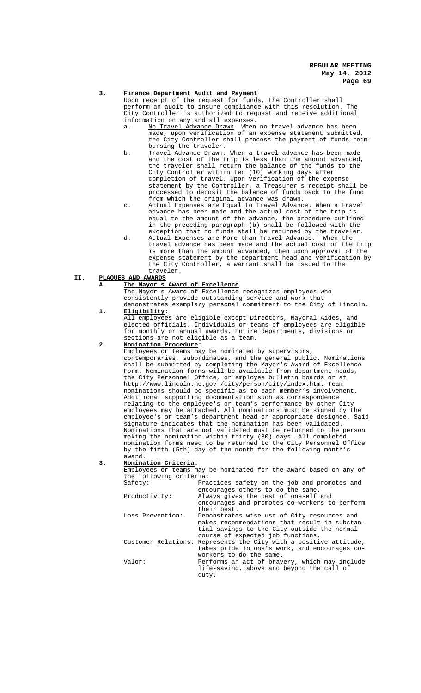#### **3. Finance Department Audit and Payment**

Upon receipt of the request for funds, the Controller shall perform an audit to insure compliance with this resolution. The City Controller is authorized to request and receive additional information on any and all expenses.<br>a. No Travel Advance Drawn. When

- No Travel Advance Drawn. When no travel advance has been<br>made, upon verification of an expense statement submitted upon verification of an expense statement submitted, the City Controller shall process the payment of funds reimbursing the traveler.
- b. <u>Travel Advance Drawn</u>. When a travel advance has been made and the cost of the trip is less than the amount advanced, the traveler shall return the balance of the funds to the shall return the balance of the funds to the City Controller within ten (10) working days after completion of travel. Upon verification of the expense statement by the Controller, a Treasurer's receipt shall be processed to deposit the balance of funds back to the fund from which the original advance was drawn.
- c. Actual Expenses are Equal to Travel Advance. When a travel advance has been made and the actual cost of the trip is equal to the amount of the advance, the procedure outlined in the preceding paragraph (b) shall be followed with the exception that no funds shall be returned by the traveler.
- d. Actual Expenses are More than Travel Advance. When the travel advance has been made and the actual cost of the trip is more than the amount advanced, then upon approval of the expense statement by the department head and verification by the City Controller, a warrant shall be issued to the traveler.

# **II. PLAQUES AND AWARDS**

# **A. The Mayor's Award of Excellence**

The Mayor's Award of Excellence recognizes employees who consistently provide outstanding service and work that demonstrates exemplary personal commitment to the City of Lincoln. **1. Eligibility:**

All employees are eligible except Directors, Mayoral Aides, elected officials. Individuals or teams of employees are eligible for monthly or annual awards. Entire departments, divisions or sections are not eligible as a team.

# **2. Nomination Procedure:**

Employees or teams may be nominated by supervisors, contemporaries, subordinates, and the general public. Nominations shall be submitted by completing the Mayor's Award of Excellence Form. Nomination forms will be available from department heads, the City Personnel Office, or employee bulletin boards or at http://www.lincoln.ne.gov /city/person/city/index.htm. Team nominations should be specific as to each member's involvement. Additional supporting documentation such as correspondence relating to the employee's or team's performance by other City employees may be attached. All nominations must be signed by the employee's or team's department head or appropriate designee. Said signature indicates that the nomination has been validated. Nominations that are not validated must be returned to the person making the nomination within thirty (30) days. All completed nomination forms need to be returned to the City Personnel Office by the fifth (5th) day of the month for the following month's award.

## **3. Nomination Criteria:**

Employees or teams may be nominated for the award based on any of the following criteria:<br>Safety: ..<br>ractices safety on the job and promotes and

| ⊃u⊥⊂cy∙          | Fractices sarely on the job and promotes and                                                        |
|------------------|-----------------------------------------------------------------------------------------------------|
|                  | encourages others to do the same.                                                                   |
| Productivity:    | Always gives the best of oneself and                                                                |
|                  | encourages and promotes co-workers to perform                                                       |
|                  | their best.                                                                                         |
| Loss Prevention: | Demonstrates wise use of City resources and<br>makes recommendations that result in substan-        |
|                  | tial savings to the City outside the normal                                                         |
|                  | course of expected job functions.                                                                   |
|                  | Customer Relations: Represents the City with a positive attitude,                                   |
|                  | takes pride in one's work, and encourages co-                                                       |
|                  | workers to do the same.                                                                             |
| Valor:           | Performs an act of bravery, which may include<br>life-saving, above and beyond the call of<br>duty. |
|                  |                                                                                                     |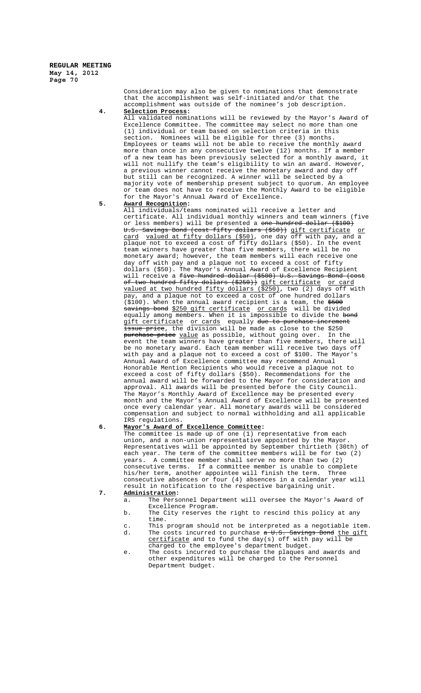> Consideration may also be given to nominations that demonstrate that the accomplishment was self-initiated and/or that the accomplishment was outside of the nominee's job description.

# **4. Selection Process:**

All validated nominations will be reviewed by the Mayor's Award of Excellence Committee. The committee may select no more than one (1) individual or team based on selection criteria in this section. Nominees will be eligible for three (3) months. Employees or teams will not be able to receive the monthly award more than once in any consecutive twelve (12) months. If a member of a new team has been previously selected for a monthly award, it will not nullify the team's eligibility to win an award. However, a previous winner cannot receive the monetary award and day off but still can be recognized. A winner will be selected by a majority vote of membership present subject to quorum. An employee or team does not have to receive the Monthly Award to be eligible for the Mayor's Annual Award of Excellence.

# **5. Award Recognition:**

All individuals/teams nominated will receive a letter and certificate. All individual monthly winners and team winners (five or less members) will be presented a one hundred dollar (\$100) U.S. Savings Bond (cost fifty dollars (\$50)) gift certificate card valued at fifty dollars (\$50), one day off with pay, and a plaque not to exceed a cost of fifty dollars (\$50). In the event team winners have greater than five members, there will be no monetary award; however, the team members will each receive one day off with pay and a plaque not to exceed a cost of fifty dollars (\$50). The Mayor's Annual Award of Excellence Recipient will receive a <del>five hundred dollar (\$500) U.S. Savings Bond (cost</del> of two hundred fifty dollars (\$250)) gift certificate or card valued at two hundred fifty dollars (\$250), two (2) days off with pay, and a plaque not to exceed a cost of one hundred dollars  $(\text{$}100)$ . When the annual award recipient is a team, the  $\text{$}500$ savings bond \$250 gift certificate or cards will be divided equally among members. When it is impossible to divide the <del>bond</del> gift certificate or cards equally due to purchase increment issue price, the division will be made as close to the \$250 <del>purchase price</del> <u>value</u> as possible, without going over. In the event the team winners have greater than five members, there will be no monetary award. Each team member will receive two days off with pay and a plaque not to exceed a cost of \$100. The Mayor's Annual Award of Excellence committee may recommend Annual Honorable Mention Recipients who would receive a plaque not to exceed a cost of fifty dollars (\$50). Recommendations for the annual award will be forwarded to the Mayor for consideration and approval. All awards will be presented before the City Council. The Mayor's Monthly Award of Excellence may be presented every month and the Mayor's Annual Award of Excellence will be presented once every calendar year. All monetary awards will be considered compensation and subject to normal withholding and all applicable IRS regulations.

## **6. Mayor's Award of Excellence Committee:**

The committee is made up of one (1) representative from each union, and a non-union representative appointed by the Mayor. Representatives will be appointed by September thirtieth (30th) of each year. The term of the committee members will be for two (2) years. A committee member shall serve no more than two (2) consecutive terms. If a committee member is unable to complete his/her term, another appointee will finish the term. Three his/her term, another appointee will finish the term. consecutive absences or four (4) absences in a calendar year will result in notification to the respective bargaining unit. **7. Administration:**

- a. The Personnel Department will oversee the Mayor's Award of Excellence Program.
- b. The City reserves the right to rescind this policy at any time.
- c. This program should not be interpreted as a negotiable item.<br>d. The costs incurred to purchase  $\sigma$  U.S. Savings Bond the gift d. The costs incurred to purchase <del>a U.S. Savings Bond</del> <u>the qift</u>
- certificate and to fund the day(s) off with pay will be charged to the employee's department budget.
- e. The costs incurred to purchase the plaques and awards and other expenditures will be charged to the Personnel Department budget.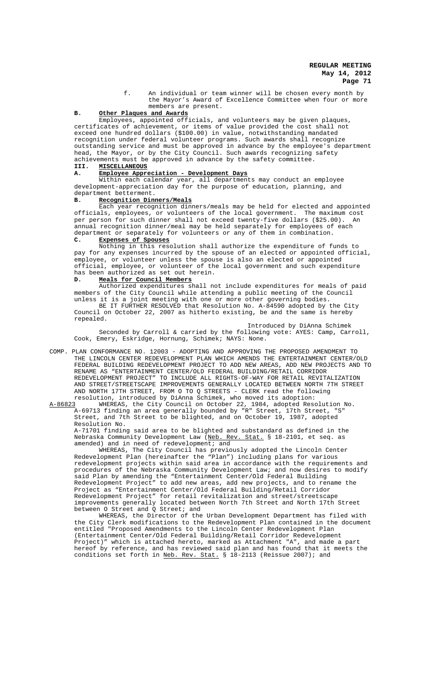f. An individual or team winner will be chosen every month by the Mayor's Award of Excellence Committee when four or more members are present.

# **B. Other Plaques and Awards**

Employees, appointed officials, and volunteers may be given plaques, certificates of achievement, or items of value provided the cost shall exceed one hundred dollars (\$100.00) in value, notwithstanding mandated recognition under federal volunteer programs. Such awards shall recognize outstanding service and must be approved in advance by the employee's department head, the Mayor, or by the City Council. Such awards recognizing safety achievements must be approved in advance by the safety committee.<br>III. MISCELLANEOUS

#### **III. MISCELLANEOUS**

# **A. Employee Appreciation - Development Days**

Within each calendar year, all departments may conduct an employee development-appreciation day for the purpose of education, planning, and department betterment.

#### **B. Recognition Dinners/Meals**

Each year recognition dinners/meals may be held for elected and appointed officials, employees, or volunteers of the local government. The maximum cost per person for such dinner shall not exceed twenty-five dollars (\$25.00). An annual recognition dinner/meal may be held separately for employees of each department or separately for volunteers or any of them in combination.

#### **C. Expenses of Spouses**

Nothing in this resolution shall authorize the expenditure of funds to pay for any expenses incurred by the spouse of an elected or appointed official, employee, or volunteer unless the spouse is also an elected or appointed official, employee, or volunteer of the local government and such expenditure has been authorized as set out herein.

### **D. Meals for Council Members**

Authorized expenditures shall not include expenditures for meals of paid members of the City Council while attending a public meeting of the Council unless it is a joint meeting with one or more other governing bodies. BE IT FURTHER RESOLVED that Resolution No. A-84590 adopted by the City

Council on October 22, 2007 as hitherto existing, be and the same is hereby repealed.

Introduced by DiAnna Schimek Seconded by Carroll & carried by the following vote: AYES: Camp, Carroll, Cook, Emery, Eskridge, Hornung, Schimek; NAYS: None.

COMP. PLAN CONFORMANCE NO. 12003 - ADOPTING AND APPROVING THE PROPOSED AMENDMENT TO THE LINCOLN CENTER REDEVELOPMENT PLAN WHICH AMENDS THE ENTERTAINMENT CENTER/OLD FEDERAL BUILDING REDEVELOPMENT PROJECT TO ADD NEW AREAS, ADD NEW PROJECTS AND TO RENAME AS "ENTERTAINMENT CENTER/OLD FEDERAL BUILDING/RETAIL CORRIDOR REDEVELOPMENT PROJECT" TO INCLUDE ALL RIGHTS-OF-WAY FOR RETAIL REVITALIZATION AND STREET/STREETSCAPE IMPROVEMENTS GENERALLY LOCATED BETWEEN NORTH 7TH STREET AND NORTH 17TH STREET, FROM O TO Q STREETS - CLERK read the following resolution, introduced by DiAnna Schimek, who moved its adoption:

A-86823 WHEREAS, the City Council on October 22, 1984, adopted Resolution No. A-69713 finding an area generally bounded by "R" Street, 17th Street, "S" Street, and 7th Street to be blighted, and on October 19, 1987, adopted Resolution No.

A-71701 finding said area to be blighted and substandard as defined in the Nebraska Community Development Law (Neb. Rev. Stat. § 18-2101, et seq. as amended) and in need of redevelopment; and

WHEREAS, The City Council has previously adopted the Lincoln Center Redevelopment Plan (hereinafter the "Plan") including plans for various redevelopment projects within said area in accordance with the requirements and procedures of the Nebraska Community Development Law; and now desires to modify said Plan by amending the "Entertainment Center/Old Federal Building Redevelopment Project" to add new areas, add new projects, and to rename the Project as "Entertainment Center/Old Federal Building/Retail Corridor Redevelopment Project" for retail revitalization and street/streetscape improvements generally located between North 7th Street and North 17th Street between O Street and Q Street; and

WHEREAS, the Director of the Urban Development Department has filed with the City Clerk modifications to the Redevelopment Plan contained in the document entitled "Proposed Amendments to the Lincoln Center Redevelopment Plan (Entertainment Center/Old Federal Building/Retail Corridor Redevelopment Project)" which is attached hereto, marked as Attachment "A", and made a part hereof by reference, and has reviewed said plan and has found that it meets the conditions set forth in Neb. Rev. Stat. § 18-2113 (Reissue 2007); and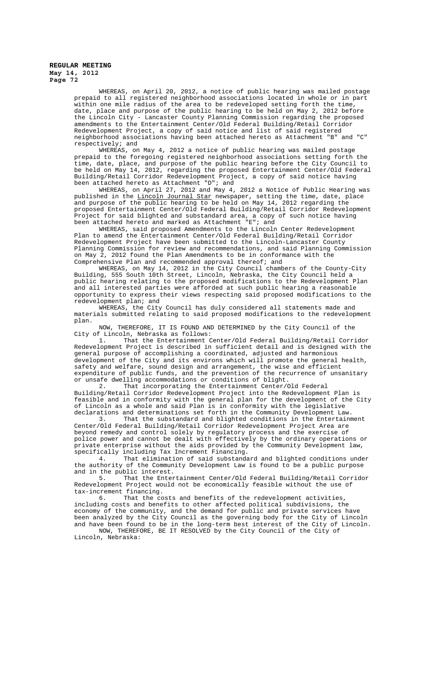> WHEREAS, on April 20, 2012, a notice of public hearing was mailed postage prepaid to all registered neighborhood associations located in whole or in part within one mile radius of the area to be redeveloped setting forth the time, date, place and purpose of the public hearing to be held on May 2, 2012 before the Lincoln City - Lancaster County Planning Commission regarding the proposed amendments to the Entertainment Center/Old Federal Building/Retail Corridor Redevelopment Project, a copy of said notice and list of said registered neighborhood associations having been attached hereto as Attachment "B" and "C" respectively; and

> WHEREAS, on May 4, 2012 a notice of public hearing was mailed postage prepaid to the foregoing registered neighborhood associations setting forth the time, date, place, and purpose of the public hearing before the City Council to be held on May 14, 2012, regarding the proposed Entertainment Center/Old Federal Building/Retail Corridor Redevelopment Project, a copy of said notice having been attached hereto as Attachment "D"; and

> WHEREAS, on April 27, 2012 and May 4, 2012 a Notice of Public Hearing was published in the Lincoln Journal Star newspaper, setting the time, date, place and purpose of the public hearing to be held on May 14, 2012 regarding the proposed Entertainment Center/Old Federal Building/Retail Corridor Redevelopment Project for said blighted and substandard area, a copy of such notice having been attached hereto and marked as Attachment "E"; and

> WHEREAS, said proposed Amendments to the Lincoln Center Redevelopment Plan to amend the Entertainment Center/Old Federal Building/Retail Corridor Redevelopment Project have been submitted to the Lincoln-Lancaster County Planning Commission for review and recommendations, and said Planning Commission on May 2, 2012 found the Plan Amendments to be in conformance with the Comprehensive Plan and recommended approval thereof; and

> WHEREAS, on May 14, 2012 in the City Council chambers of the County-City Building, 555 South 10th Street, Lincoln, Nebraska, the City Council held a public hearing relating to the proposed modifications to the Redevelopment Plan and all interested parties were afforded at such public hearing a reasonable opportunity to express their views respecting said proposed modifications to the redevelopment plan; and

> WHEREAS, the City Council has duly considered all statements made and materials submitted relating to said proposed modifications to the redevelopment plan.

NOW, THEREFORE, IT IS FOUND AND DETERMINED by the City Council of the City of Lincoln, Nebraska as follows:<br>1. That the Entertainment O

1. That the Entertainment Center/Old Federal Building/Retail Corridor Redevelopment Project is described in sufficient detail and is designed with the general purpose of accomplishing a coordinated, adjusted and harmonious development of the City and its environs which will promote the general health, safety and welfare, sound design and arrangement, the wise and efficient expenditure of public funds, and the prevention of the recurrence of unsanitary or unsafe dwelling accommodations or conditions of blight.

2. That incorporating the Entertainment Center/Old Federal Building/Retail Corridor Redevelopment Project into the Redevelopment Plan is feasible and in conformity with the general plan for the development of the City of Lincoln as a whole and said Plan is in conformity with the legislative declarations and determinations set forth in the Community Development Law.<br>3. That the substandard and blighted conditions in the Entertainm

That the substandard and blighted conditions in the Entertainment Center/Old Federal Building/Retail Corridor Redevelopment Project Area are beyond remedy and control solely by regulatory process and the exercise of police power and cannot be dealt with effectively by the ordinary operations or private enterprise without the aids provided by the Community Development law, specifically including Tax Increment Financing.<br>4 That elimination of said substanda

That elimination of said substandard and blighted conditions under the authority of the Community Development Law is found to be a public purpose and in the public interest.

5. That the Entertainment Center/Old Federal Building/Retail Corridor Redevelopment Project would not be economically feasible without the use of tax-increment financing.

6. That the costs and benefits of the redevelopment activities, including costs and benefits to other affected political subdivisions, the economy of the community, and the demand for public and private services have been analyzed by the City Council as the governing body for the City of Lincoln and have been found to be in the long-term best interest of the City of Lincoln. NOW, THEREFORE, BE IT RESOLVED by the City Council of the City of

Lincoln, Nebraska: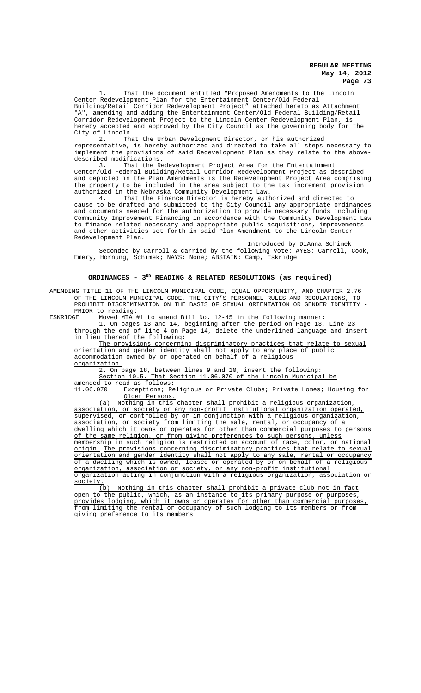1. That the document entitled "Proposed Amendments to the Lincoln Center Redevelopment Plan for the Entertainment Center/Old Federal Building/Retail Corridor Redevelopment Project" attached hereto as Attachment "A", amending and adding the Entertainment Center/Old Federal Building/Retail Corridor Redevelopment Project to the Lincoln Center Redevelopment Plan, is hereby accepted and approved by the City Council as the governing body for the City of Lincoln.<br>2. That

2. That the Urban Development Director, or his authorized representative, is hereby authorized and directed to take all steps necessary to implement the provisions of said Redevelopment Plan as they relate to the abovedescribed modifications.<br>3. That the Re

That the Redevelopment Project Area for the Entertainment Center/Old Federal Building/Retail Corridor Redevelopment Project as described and depicted in the Plan Amendments is the Redevelopment Project Area comprising the property to be included in the area subject to the tax increment provision authorized in the Nebraska Community Development Law.<br>4. That the Finance Director is hereby author

That the Finance Director is hereby authorized and directed to cause to be drafted and submitted to the City Council any appropriate ordinances and documents needed for the authorization to provide necessary funds including Community Improvement Financing in accordance with the Community Development Law to finance related necessary and appropriate public acquisitions, improvements and other activities set forth in said Plan Amendment to the Lincoln Center Redevelopment Plan.

Introduced by DiAnna Schimek Seconded by Carroll & carried by the following vote: AYES: Carroll, Cook, Emery, Hornung, Schimek; NAYS: None; ABSTAIN: Camp, Eskridge.

#### **ORDINANCES - 3RD READING & RELATED RESOLUTIONS (as required)**

AMENDING TITLE 11 OF THE LINCOLN MUNICIPAL CODE, EQUAL OPPORTUNITY, AND CHAPTER 2.76 OF THE LINCOLN MUNICIPAL CODE, THE CITY'S PERSONNEL RULES AND REGULATIONS, TO PROHIBIT DISCRIMINATION ON THE BASIS OF SEXUAL ORIENTATION OR GENDER IDENTITY - PRIOR to reading:<br>**ESKRIDGE** Moved MTA **:** 

Moved MTA #1 to amend Bill No. 12-45 in the following manner:

1. On pages 13 and 14, beginning after the period on Page 13, Line 23 through the end of line 4 on Page 14, delete the underlined language and insert in lieu thereof the following:

The provisions concerning discriminatory practices that relate to sexual orientation and gender identity shall not apply to any place of public accommodation owned by or operated on behalf of a religious organization.

2. On page 18, between lines 9 and 10, insert the following:

Section 10.5. That Section 11.06.070 of the Lincoln Municipal be amended to read as follows:<br>11.06.070 Exceptions; Re

Exceptions; Religious or Private Clubs; Private Homes; Housing for Older Persons.

(a) Nothing in this chapter shall prohibit a religious organization association, or society or any non-profit institutional organization operated, supervised, or controlled by or in conjunction with a religious organization, association, or society from limiting the sale, rental, or occupancy of a dwelling which it owns or operates for other than commercial purposes to persons of the same religion, or from giving preferences to such persons, unless membership in such religion is restricted on account of race, color, or national origin. The provisions concerning discriminatory practices that relate to sexual orientation and gender identity shall not apply to any sale, rental or occupancy of a dwelling which is owned, leased or operated by or on behalf of a religious organization, association or society, or any non-profit institutional organization acting in conjunction with a religious organization, association or society.<br>(b)

Nothing in this chapter shall prohibit a private club not in fact open to the public, which, as an instance to its primary purpose or purposes, provides lodging, which it owns or operates for other than commercial purposes, from limiting the rental or occupancy of such lodging to its members or from giving preference to its members.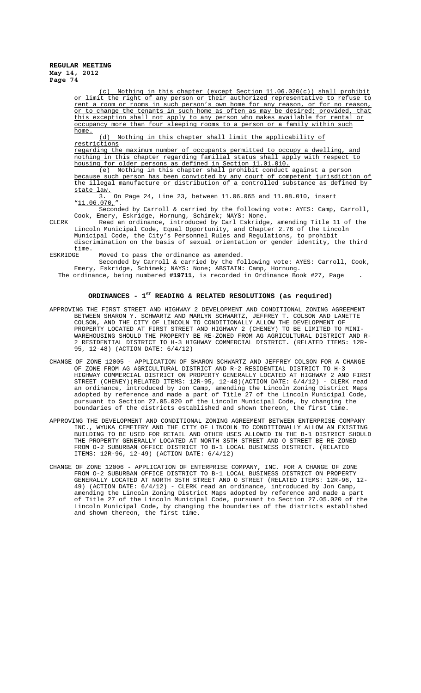Nothing in this chapter (except Section 11.06.020(c)) shall prohibit or limit the right of any person or their authorized representative to refuse to rent a room or rooms in such person's own home for any reason, or for no reason, or to change the tenants in such home as often as may be desired; provided, that this exception shall not apply to any person who makes available for rental or occupancy more than four sleeping rooms to a person or a family within such home.

(d) Nothing in this chapter shall limit the applicability of restrictions

regarding the maximum number of occupants permitted to occupy a dwelling, and nothing in this chapter regarding familial status shall apply with respect to housing for older persons as defined in Section 11.01.010.

(e) Nothing in this chapter shall prohibit conduct against a person because such person has been convicted by any court of competent jurisdiction of the illegal manufacture or distribution of a controlled substance as defined by state law.

3. On Page 24, Line 23, between 11.06.065 and 11.08.010, insert "11.06.070,"

Seconded by Carroll & carried by the following vote: AYES: Camp, Carroll, Cook, Emery, Eskridge, Hornung, Schimek; NAYS: None.

CLERK Read an ordinance, introduced by Carl Eskridge, amending Title 11 of the Lincoln Municipal Code, Equal Opportunity, and Chapter 2.76 of the Lincoln Municipal Code, the City's Personnel Rules and Regulations, to prohibit discrimination on the basis of sexual orientation or gender identity, the third

time.<br>ESKRIDGE

Moved to pass the ordinance as amended.

Seconded by Carroll & carried by the following vote: AYES: Carroll, Cook, Emery, Eskridge, Schimek; NAYS: None; ABSTAIN: Camp, Hornung. The ordinance, being numbered **#19711**, is recorded in Ordinance Book #27, Page .

## ORDINANCES - 1<sup>st</sup> READING & RELATED RESOLUTIONS (as required)

- APPROVING THE FIRST STREET AND HIGHWAY 2 DEVELOPMENT AND CONDITIONAL ZONING AGREEMENT BETWEEN SHARON Y. SCHWARTZ AND MARLYN SCHWARTZ, JEFFREY T. COLSON AND LANETTE COLSON, AND THE CITY OF LINCOLN TO CONDITIONALLY ALLOW THE DEVELOPMENT OF PROPERTY LOCATED AT FIRST STREET AND HIGHWAY 2 (CHENEY) TO BE LIMITED TO MINI-WAREHOUSING SHOULD THE PROPERTY BE RE-ZONED FROM AG AGRICULTURAL DISTRICT AND R-2 RESIDENTIAL DISTRICT TO H-3 HIGHWAY COMMERCIAL DISTRICT. (RELATED ITEMS: 12R-95, 12-48) (ACTION DATE: 6/4/12)
- CHANGE OF ZONE 12005 APPLICATION OF SHARON SCHWARTZ AND JEFFREY COLSON FOR A CHANGE OF ZONE FROM AG AGRICULTURAL DISTRICT AND R-2 RESIDENTIAL DISTRICT TO H-3 HIGHWAY COMMERCIAL DISTRICT ON PROPERTY GENERALLY LOCATED AT HIGHWAY 2 AND FIRST STREET (CHENEY)(RELATED ITEMS: 12R-95, 12-48)(ACTION DATE: 6/4/12) - CLERK read an ordinance, introduced by Jon Camp, amending the Lincoln Zoning District Maps adopted by reference and made a part of Title 27 of the Lincoln Municipal Code, pursuant to Section 27.05.020 of the Lincoln Municipal Code, by changing the boundaries of the districts established and shown thereon, the first time.
- APPROVING THE DEVELOPMENT AND CONDITIONAL ZONING AGREEMENT BETWEEN ENTERPRISE COMPANY INC., WYUKA CEMETERY AND THE CITY OF LINCOLN TO CONDITIONALLY ALLOW AN EXISTING BUILDING TO BE USED FOR RETAIL AND OTHER USES ALLOWED IN THE B-1 DISTRICT SHOULD THE PROPERTY GENERALLY LOCATED AT NORTH 35TH STREET AND O STREET BE RE-ZONED FROM O-2 SUBURBAN OFFICE DISTRICT TO B-1 LOCAL BUSINESS DISTRICT. (RELATED ITEMS: 12R-96, 12-49) (ACTION DATE: 6/4/12)
- CHANGE OF ZONE 12006 APPLICATION OF ENTERPRISE COMPANY, INC. FOR A CHANGE OF ZONE FROM O-2 SUBURBAN OFFICE DISTRICT TO B-1 LOCAL BUSINESS DISTRICT ON PROPERTY GENERALLY LOCATED AT NORTH 35TH STREET AND O STREET (RELATED ITEMS: 12R-96, 12- 49) (ACTION DATE: 6/4/12) - CLERK read an ordinance, introduced by Jon Camp, amending the Lincoln Zoning District Maps adopted by reference and made a part of Title 27 of the Lincoln Municipal Code, pursuant to Section 27.05.020 of the Lincoln Municipal Code, by changing the boundaries of the districts established and shown thereon, the first time.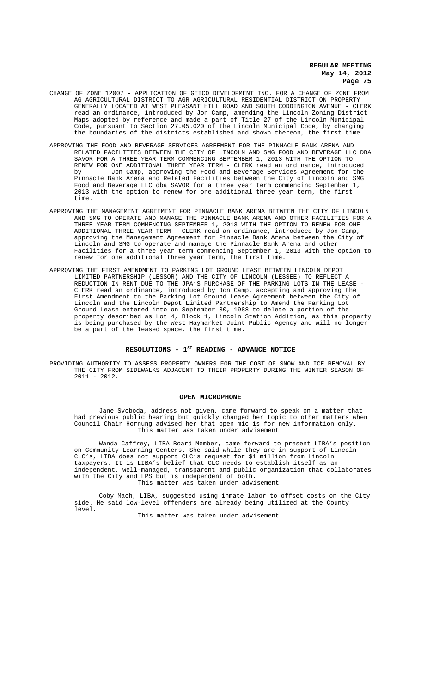- CHANGE OF ZONE 12007 APPLICATION OF GEICO DEVELOPMENT INC. FOR A CHANGE OF ZONE FROM AG AGRICULTURAL DISTRICT TO AGR AGRICULTURAL RESIDENTIAL DISTRICT ON PROPERTY<br>GENERALLY LOCATED AT WEST PLEASANT HILL ROAD AND SOUTH CODDINGTON AVENUE - CLERK GENERALLY LOCATED AT WEST PLEASANT HILL ROAD AND SOUTH CODDINGTON AVENUE read an ordinance, introduced by Jon Camp, amending the Lincoln Zoning District Maps adopted by reference and made a part of Title 27 of the Lincoln Municipal Code, pursuant to Section 27.05.020 of the Lincoln Municipal Code, by changing the boundaries of the districts established and shown thereon, the first time.
- APPROVING THE FOOD AND BEVERAGE SERVICES AGREEMENT FOR THE PINNACLE BANK ARENA AND RELATED FACILITIES BETWEEN THE CITY OF LINCOLN AND SMG FOOD AND BEVERAGE LLC DBA SAVOR FOR A THREE YEAR TERM COMMENCING SEPTEMBER 1, 2013 WITH THE OPTION TO RENEW FOR ONE ADDITIONAL THREE YEAR TERM - CLERK read an ordinance, introduced by Jon Camp, approving the Food and Beverage Services Agreement for the Pinnacle Bank Arena and Related Facilities between the City of Lincoln and SMG Food and Beverage LLC dba SAVOR for a three year term commencing September 1, 2013 with the option to renew for one additional three year term, the first time.
- APPROVING THE MANAGEMENT AGREEMENT FOR PINNACLE BANK ARENA BETWEEN THE CITY OF LINCOLN AND SMG TO OPERATE AND MANAGE THE PINNACLE BANK ARENA AND OTHER FACILITIES FOR A THREE YEAR TERM COMMENCING SEPTEMBER 1, 2013 WITH THE OPTION TO RENEW FOR ONE ADDITIONAL THREE YEAR TERM - CLERK read an ordinance, introduced by Jon Camp, approving the Management Agreement for Pinnacle Bank Arena between the City of Lincoln and SMG to operate and manage the Pinnacle Bank Arena and other Facilities for a three year term commencing September 1, 2013 with the option to renew for one additional three year term, the first time.
- APPROVING THE FIRST AMENDMENT TO PARKING LOT GROUND LEASE BETWEEN LINCOLN DEPOT LIMITED PARTNERSHIP (LESSOR) AND THE CITY OF LINCOLN (LESSEE) TO REFLECT A REDUCTION IN RENT DUE TO THE JPA'S PURCHASE OF THE PARKING LOTS IN THE LEASE - CLERK read an ordinance, introduced by Jon Camp, accepting and approving the First Amendment to the Parking Lot Ground Lease Agreement between the City of Lincoln and the Lincoln Depot Limited Partnership to Amend the Parking Lot Ground Lease entered into on September 30, 1988 to delete a portion of the property described as Lot 4, Block 1, Lincoln Station Addition, as this property is being purchased by the West Haymarket Joint Public Agency and will no longer be a part of the leased space, the first time.

# RESOLUTIONS - 1<sup>st</sup> READING - ADVANCE NOTICE

PROVIDING AUTHORITY TO ASSESS PROPERTY OWNERS FOR THE COST OF SNOW AND ICE REMOVAL BY THE CITY FROM SIDEWALKS ADJACENT TO THEIR PROPERTY DURING THE WINTER SEASON OF 2011 - 2012.

#### **OPEN MICROPHONE**

Jane Svoboda, address not given, came forward to speak on a matter that had previous public hearing but quickly changed her topic to other matters when Council Chair Hornung advised her that open mic is for new information only. This matter was taken under advisement.

Wanda Caffrey, LIBA Board Member, came forward to present LIBA's position on Community Learning Centers. She said while they are in support of Lincoln CLC's, LIBA does not support CLC's request for \$1 million from Lincoln taxpayers. It is LIBA's belief that CLC needs to establish itself as an independent, well-managed, transparent and public organization that collaborates with the City and LPS but is independent of both. This matter was taken under advisement.

Coby Mach, LIBA, suggested using inmate labor to offset costs on the City side. He said low-level offenders are already being utilized at the County level.

This matter was taken under advisement.